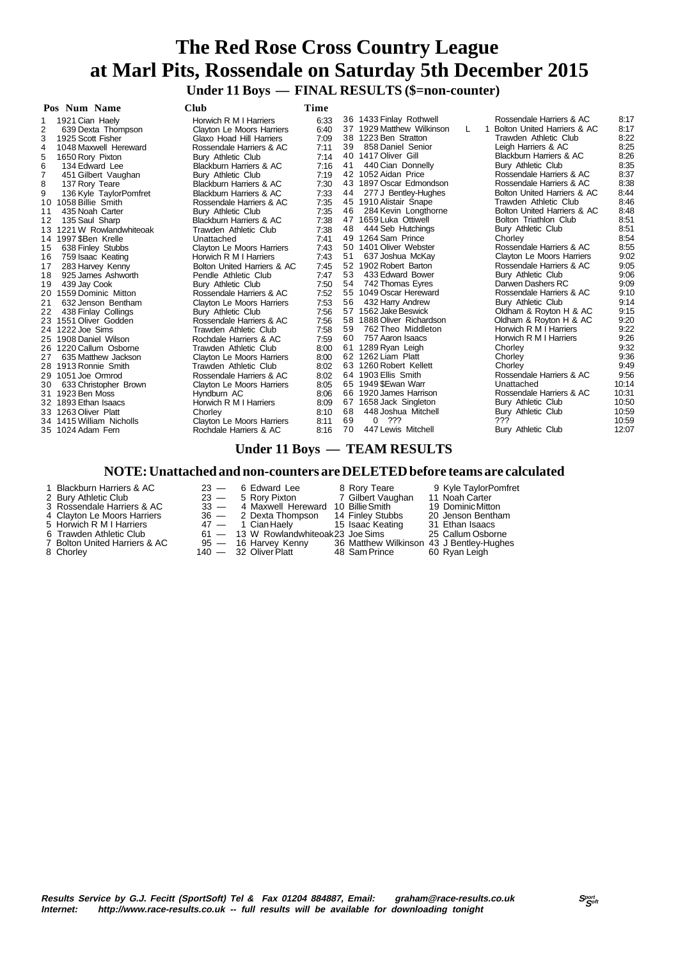# **The Red Rose Cross Country League at Marl Pits, Rossendale on Saturday 5th December 2015 Under 11 Boys — FINAL RESULTS (\$=non-counter)**

| Pos Num Name                         | <b>Club</b>                        | Time |    |                           |    |                             |       |
|--------------------------------------|------------------------------------|------|----|---------------------------|----|-----------------------------|-------|
| 1921 Cian Haely                      | Horwich R M I Harriers             | 6:33 |    | 36 1433 Finlay Rothwell   |    | Rossendale Harriers & AC    | 8:17  |
| $\overline{2}$<br>639 Dexta Thompson | Clayton Le Moors Harriers          | 6:40 |    | 37 1929 Matthew Wilkinson | L. | Bolton United Harriers & AC | 8:17  |
| 3<br>1925 Scott Fisher               | Glaxo Hoad Hill Harriers           | 7:09 |    | 38 1223 Ben Stratton      |    | Trawden Athletic Club       | 8:22  |
| 4<br>1048 Maxwell Hereward           | Rossendale Harriers & AC           | 7:11 | 39 | 858 Daniel Senior         |    | Leigh Harriers & AC         | 8:25  |
| 5<br>1650 Rory Pixton                | Bury Athletic Club                 | 7:14 | 40 | 1417 Oliver Gill          |    | Blackburn Harriers & AC     | 8:26  |
| 6<br>134 Edward Lee                  | Blackburn Harriers & AC            | 7:16 | 41 | 440 Cian Donnelly         |    | Bury Athletic Club          | 8:35  |
| 7<br>451 Gilbert Vaughan             | Bury Athletic Club                 | 7:19 |    | 42 1052 Aidan Price       |    | Rossendale Harriers & AC    | 8:37  |
| 8<br>137 Rory Teare                  | <b>Blackburn Harriers &amp; AC</b> | 7:30 |    | 43 1897 Oscar Edmondson   |    | Rossendale Harriers & AC    | 8:38  |
| 9<br>136 Kyle TaylorPomfret          | <b>Blackburn Harriers &amp; AC</b> | 7:33 | 44 | 277 J Bentley-Hughes      |    | Bolton United Harriers & AC | 8:44  |
| 1058 Billie Smith<br>10              | Rossendale Harriers & AC           | 7:35 |    | 45 1910 Alistair Snape    |    | Trawden Athletic Club       | 8:46  |
| 435 Noah Carter<br>11                | Bury Athletic Club                 | 7:35 | 46 | 284 Kevin Longthorne      |    | Bolton United Harriers & AC | 8:48  |
| 135 Saul Sharp<br>12                 | <b>Blackburn Harriers &amp; AC</b> | 7:38 |    | 47 1659 Luka Ottiwell     |    | Bolton Triathlon Club       | 8:51  |
| 1221 W Rowlandwhiteoak<br>13         | Trawden Athletic Club              | 7:38 | 48 | 444 Seb Hutchings         |    | Bury Athletic Club          | 8:51  |
| 14 1997 SBen Krelle                  | Unattached                         | 7:41 |    | 49 1264 Sam Prince        |    | Chorley                     | 8:54  |
| 638 Finley Stubbs<br>15              | <b>Clayton Le Moors Harriers</b>   | 7:43 |    | 50 1401 Oliver Webster    |    | Rossendale Harriers & AC    | 8:55  |
| 759 Isaac Keating<br>16              | Horwich R M I Harriers             | 7:43 | 51 | 637 Joshua McKay          |    | Clayton Le Moors Harriers   | 9:02  |
| 283 Harvey Kenny<br>17               | Bolton United Harriers & AC        | 7:45 |    | 52 1902 Robert Barton     |    | Rossendale Harriers & AC    | 9:05  |
| 925 James Ashworth<br>18             | Pendle Athletic Club               | 7:47 | 53 | 433 Edward Bower          |    | Bury Athletic Club          | 9:06  |
| 439 Jay Cook<br>19                   | <b>Bury Athletic Club</b>          | 7:50 | 54 | 742 Thomas Eyres          |    | Darwen Dashers RC           | 9:09  |
| 1559 Dominic Mitton<br>20            | Rossendale Harriers & AC           | 7:52 |    | 55 1049 Oscar Hereward    |    | Rossendale Harriers & AC    | 9:10  |
| 21<br>632 Jenson Bentham             | <b>Clayton Le Moors Harriers</b>   | 7:53 | 56 | 432 Harry Andrew          |    | Bury Athletic Club          | 9:14  |
| 22<br>438 Finlay Collings            | Bury Athletic Club                 | 7:56 |    | 57 1562 Jake Beswick      |    | Oldham & Royton H & AC      | 9:15  |
| 1551 Oliver Godden                   | Rossendale Harriers & AC           | 7:56 | 58 | 1888 Oliver Richardson    |    | Oldham & Royton H & AC      | 9:20  |
| 24 1222 Joe Sims                     | Trawden Athletic Club              | 7:58 | 59 | 762 Theo Middleton        |    | Horwich R M   Harriers      | 9:22  |
| 1908 Daniel Wilson<br>25             | Rochdale Harriers & AC             | 7:59 | 60 | 757 Aaron Isaacs          |    | Horwich R M I Harriers      | 9:26  |
| 1220 Callum Osborne<br>26            | Trawden Athletic Club              | 8:00 |    | 61 1289 Ryan Leigh        |    | Chorley                     | 9:32  |
| 635 Matthew Jackson<br>27            | Clayton Le Moors Harriers          | 8:00 |    | 62 1262 Liam Platt        |    | Chorley                     | 9:36  |
| 28 1913 Ronnie Smith                 | Trawden Athletic Club              | 8:02 |    | 63 1260 Robert Kellett    |    | Chorley                     | 9:49  |
| 29 1051 Joe Ormrod                   | Rossendale Harriers & AC           | 8:02 |    | 64 1903 Ellis Smith       |    | Rossendale Harriers & AC    | 9:56  |
| 633 Christopher Brown<br>30          | Clayton Le Moors Harriers          | 8:05 |    | 65 1949 SEwan Warr        |    | Unattached                  | 10:14 |
| 31 1923 Ben Moss                     | Hyndburn AC                        | 8:06 |    | 66 1920 James Harrison    |    | Rossendale Harriers & AC    | 10:31 |
| 32 1893 Ethan Isaacs                 | Horwich R M I Harriers             | 8:09 |    | 67 1658 Jack Singleton    |    | Bury Athletic Club          | 10:50 |
| 33 1263 Oliver Platt                 | Chorley                            | 8:10 | 68 | 448 Joshua Mitchell       |    | Bury Athletic Club          | 10:59 |
| 34 1415 William Nicholls             | Clayton Le Moors Harriers          | 8:11 | 69 | 0, 222                    |    | ???                         | 10:59 |
| 35 1024 Adam Fern                    | Rochdale Harriers & AC             | 8:16 | 70 | 447 Lewis Mitchell        |    | <b>Bury Athletic Club</b>   | 12:07 |

#### **Under 11 Boys — TEAM RESULTS**

#### **NOTE: Unattached and non-counters are DELETED before teams are calculated**

- 1 Blackburn Harriers & AC 23 6 Edward Lee 8 Rory Teare 9 Kyle TaylorPomfret
- 
- 
- 4 Clayton Le Moors Harriers 36 2 Dexta Thompson 14 Finley Stubbs 20 Jenson Bentham
- 
- 
- 7 Bolton United Harriers & AC 95 16 Harvey Kenny 36 Matthew Wilkinson 43 J Bentley-Hughes
- 
- 2 Bury Athletic Club 23 5 Rory Pixton 7 Gilbert Vaughan 11 Noah Carter
- 5 Horwich R M I Harriers **47 1 Cian Haely** 15 Isaac Keating 31 Ethan Isaacs
	-
	-

23 - 6 Edward Lee 8 Rory Teare 9 Kyle TaylorPomfret<br>
23 - 5 Rory Pixton 7 Gilbert Vaughan 11 Noah Carter<br>
33 - 4 Maxwell Hereward 10 Billie Smith 19 Dominic Mitton<br>
36 - 2 Dexta Thompson 14 Finley Stubbs 20 Jenson Bentham<br> 6 Trawden Athletic Club 61 — 13 W Rowlandwhiteoak23 Joe Sims 25 Callum Osborne<br>
7 Bolton United Harriers & AC 95 — 16 Harvey Kenny 36 Matthew Wilkinson 43 J Bentley-Hughe<br>
8 Chorley 140 — 32 Oliver Platt 48 Sam Prince 60 R 8 Chorley 140 — 32 Oliver Platt 48 Sam Prince 60 Ryan Leigh

- 
- 
- 
-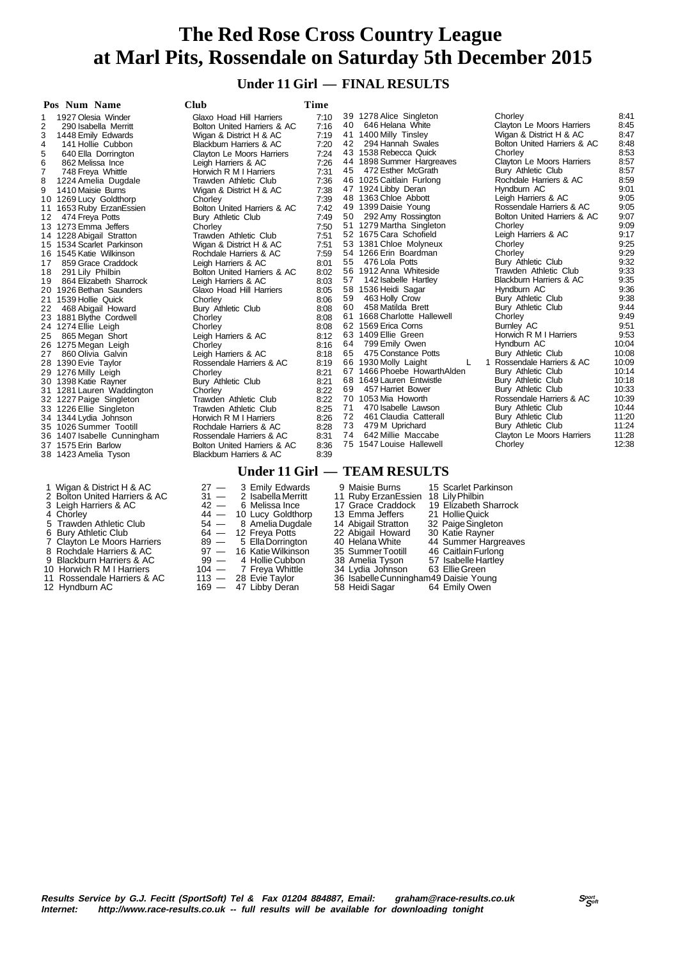### **Under 11 Girl — FINAL RESULTS**

|    | Pos Num Name<br><b>Club</b>                        |                                  |              |          |                                        |                                                  |               |
|----|----------------------------------------------------|----------------------------------|--------------|----------|----------------------------------------|--------------------------------------------------|---------------|
|    | 1927 Olesia Winder                                 | Glaxo Hoad Hill Harriers         | 7:10         |          | 39 1278 Alice Singleton                | Chorley                                          | 8:41          |
| 2  | 290 Isabella Merritt                               | Bolton United Harriers & AC      | 7:16         | 40       | 646 Helana White                       | Clayton Le Moors Harriers                        | 8:45          |
| 3  | 1448 Emily Edwards                                 | Wigan & District H & AC          | 7:19         |          | 41 1400 Milly Tinsley                  | Wigan & District H & AC                          | 8:47          |
| 4  | 141 Hollie Cubbon                                  | Blackburn Harriers & AC          | 7:20         | 42       | 294 Hannah Swales                      | Bolton United Harriers & AC                      | 8:48          |
| 5  | 640 Ella Dorrington                                | Clayton Le Moors Harriers        | 7:24         |          | 43 1538 Rebecca Quick                  | Chorley                                          | 8:53          |
| 6  | 862 Melissa Ince                                   | Leigh Harriers & AC              | 7:26         |          | 44 1898 Summer Hargreaves              | Clayton Le Moors Harriers                        | 8:57          |
| 7  | 748 Freya Whittle                                  | Horwich R M I Harriers           | 7:31         |          | 45 472 Esther McGrath                  | Bury Athletic Club                               | 8:57          |
| 8  | 1224 Amelia Dugdale                                | Trawden Athletic Club            | 7:36         |          | 46 1025 Caitlain Furlong               | Rochdale Harriers & AC                           | 8:59          |
| 9  | 1410 Maisie Burns                                  | Wigan & District H & AC          | 7:38         |          | 47 1924 Libby Deran                    | Hyndburn AC                                      | 9:01          |
|    | 10 1269 Lucy Goldthorp                             | Chorley                          | 7:39         |          | 48 1363 Chloe Abbott                   | Leigh Harriers & AC                              | 9:05          |
| 11 | 1653 Ruby ErzanEssien                              | Bolton United Harriers & AC      | 7:42         |          | 49 1399 Daisie Young                   | Rossendale Harriers & AC                         | 9:05          |
| 12 | 474 Freya Potts                                    | Bury Athletic Club               | 7:49         | 50       | 292 Amy Rossington                     | Bolton United Harriers & AC                      | 9:07          |
|    | 13 1273 Emma Jeffers                               | Chorley                          | 7:50         |          | 51 1279 Martha Singleton               | Chorley                                          | 9:09          |
|    | 14 1228 Abigail Stratton                           | Trawden Athletic Club            | 7:51         |          | 52 1675 Cara Schofield                 | Leigh Harriers & AC                              | 9:17          |
|    | 15 1534 Scarlet Parkinson                          | Wigan & District H & AC          | 7:51         |          | 53 1381 Chloe Molyneux                 | Chorley                                          | 9:25          |
|    | 16 1545 Katie Wilkinson                            | Rochdale Harriers & AC           | 7:59         |          | 54 1266 Erin Boardman                  | Chorley                                          | 9:29          |
| 17 | 859 Grace Craddock                                 | Leigh Harriers & AC              | 8:01         |          | 55 476 Lola Potts                      | Bury Athletic Club                               | 9:32          |
| 18 | 291 Lily Philbin                                   | Bolton United Harriers & AC      | 8:02         |          | 56 1912 Anna Whiteside                 | Trawden Athletic Club                            | 9:33          |
| 19 | 864 Elizabeth Sharrock                             | Leigh Harriers & AC              | 8:03         | 57       | 142 Isabelle Hartley                   | Blackburn Harriers & AC                          | 9:35          |
|    | 20 1926 Bethan Saunders                            | Glaxo Hoad Hill Harriers         | 8:05         |          | 58 1536 Heidi Sagar                    | Hyndburn AC                                      | 9:36          |
|    | 21 1539 Hollie Quick                               | Chorley                          | 8:06         | 59       | 463 Holly Crow                         | Bury Athletic Club                               | 9:38          |
| 22 | 468 Abigail Howard                                 | Bury Athletic Club               | 8:08         | 60       | 458 Matilda Brett                      | Bury Athletic Club                               | 9:44          |
|    | 23 1881 Blythe Cordwell                            | Chorley                          | 8:08         |          | 61 1668 Charlotte Hallewell            | Chorley                                          | 9:49          |
|    | 24 1274 Ellie Leigh                                | Chorley                          | 8:08         |          | 62 1569 Erica Corns                    | Burnley AC                                       | 9:51          |
| 25 | 865 Megan Short                                    | Leigh Harriers & AC              | 8:12         |          | 63 1409 Ellie Green                    | Horwich R M I Harriers                           | 9:53<br>10:04 |
|    | 26 1275 Megan Leigh                                | Chorley                          | 8:16         | 64<br>65 | 799 Emily Owen<br>475 Constance Potts  | Hyndburn AC                                      | 10:08         |
| 27 | 860 Olivia Galvin                                  | Leigh Harriers & AC              | 8:18         |          | 66 1930 Molly Laight<br>L              | Bury Athletic Club<br>1 Rossendale Harriers & AC | 10:09         |
|    | 28 1390 Evie Taylor                                | Rossendale Harriers & AC         | 8:19         |          | 67 1466 Phoebe Howarth Alden           | Bury Athletic Club                               | 10:14         |
|    | 29 1276 Milly Leigh                                | Chorley                          | 8:21<br>8:21 |          | 68 1649 Lauren Entwistle               | Bury Athletic Club                               | 10:18         |
|    | 30 1398 Katie Rayner                               | Bury Athletic Club               | 8:22         | 69       | 457 Harriet Bower                      | Bury Athletic Club                               | 10:33         |
|    | 31 1281 Lauren Waddington                          | Chorley<br>Trawden Athletic Club | 8:22         |          | 70 1053 Mia Howorth                    | Rossendale Harriers & AC                         | 10:39         |
|    | 32 1227 Paige Singleton<br>33 1226 Ellie Singleton | Trawden Athletic Club            | 8:25         | 71       | 470 Isabelle Lawson                    | Bury Athletic Club                               | 10:44         |
|    | 34 1344 Lydia Johnson                              | Horwich R M I Harriers           | 8:26         | 72       | 461 Claudia Catterall                  | Bury Athletic Club                               | 11:20         |
|    | 35 1026 Summer Tootill                             | Rochdale Harriers & AC           | 8:28         | 73       | 479 M Uprichard                        | Bury Athletic Club                               | 11:24         |
|    | 36 1407 Isabelle Cunningham                        | Rossendale Harriers & AC         | 8:31         | 74       | 642 Millie Maccabe                     | <b>Clayton Le Moors Harriers</b>                 | 11:28         |
|    | 37 1575 Erin Barlow                                | Bolton United Harriers & AC      | 8:36         |          | 75 1547 Louise Hallewell               | Chorley                                          | 12:38         |
|    | 38 1423 Amelia Tyson                               | Blackburn Harriers & AC          | 8:39         |          |                                        |                                                  |               |
|    |                                                    |                                  |              |          |                                        |                                                  |               |
|    |                                                    |                                  |              |          | Under 11 Girl — TEAM RESULTS           |                                                  |               |
|    | 1 Wigan & District H & AC                          | 3 Emily Edwards<br>$27 -$        |              |          | 15 Scarlet Parkinson<br>9 Maisie Burns |                                                  |               |

- 
- 
- 
- 
- 
- 
- 
- 
- 
- 
- 12 Hyndburn AC

10 Horwich R M I Harriers 104 — 7 Freya Whitt<br>11 Rossendale Harriers & AC 113 — 28 Evie Taylor 113 - 28 Evie Taylor 36 Isabelle Cunningham49 Daisie Young<br>169 - 47 Libby Deran 58 Heidi Sagar 64 Emily Owen

2 Bolton United Harriers & AC 31 — 2 Isabella Merritt 11 Ruby ErzanEssien 18 Lily Philbin<br>3 Leigh Harriers & AC 42 — 6 Melissa Ince 17 Grace Craddock 19 Elizabeth Sharrock<br>4 Chorley 44 — 10 Lucy Goldthorp 13 Emma Jeffers 2 3 Leigh Harriers & AC 42 — 6 Melissa Ince 17 Grace Craddock 19 Elizabeth Sharrock 4 Chorley 44 — 10 Lucy Goldthorp 13 Emma Jeffers 21 Hollie Quick 5 Trawden Athletic Club 54 - 8 Amelia Dugdale 14 Abigail Stratton 32 Paige Singleton<br>6 Bury Athletic Club 64 - 12 Freya Potts 22 Abigail Howard 30 Katie Rayner<br>7 Clayton Le Moors Harriers 8 - 8 - 5 Ella Dorrington 40 Helan 6 Bury Athletic Club 64 — 12 Freya Potts 22 Abigail Howard 30 Katie Rayner 7 Clayton Le Moors Harriers 89 — 5 Ella Dorrington 40 Helana White 44 Summer Hargreaves 8 Rochdale Harriers & AC 99 - 16 Katie Wilkinson 35 Summer Tootill 46 Caitlain Furlong<br>9 Blackburn Harriers & AC 99 - 4 Hollie Cubbon 38 Amelia Tyson 57 Isabelle Hartley<br>10 Horwich R M I Harriers 104 - 7 Freya Whittle 34 L 9 Blackburn Harriers & AC 99 — 4 Hollie Cubbon 38 Amelia Tyson 57 Isabelle Hartley<br>10 Horwich R M I Harriers 104 — 7 Freva Whittle 34 Lydia Johnson 63 Ellie Green

- 
- -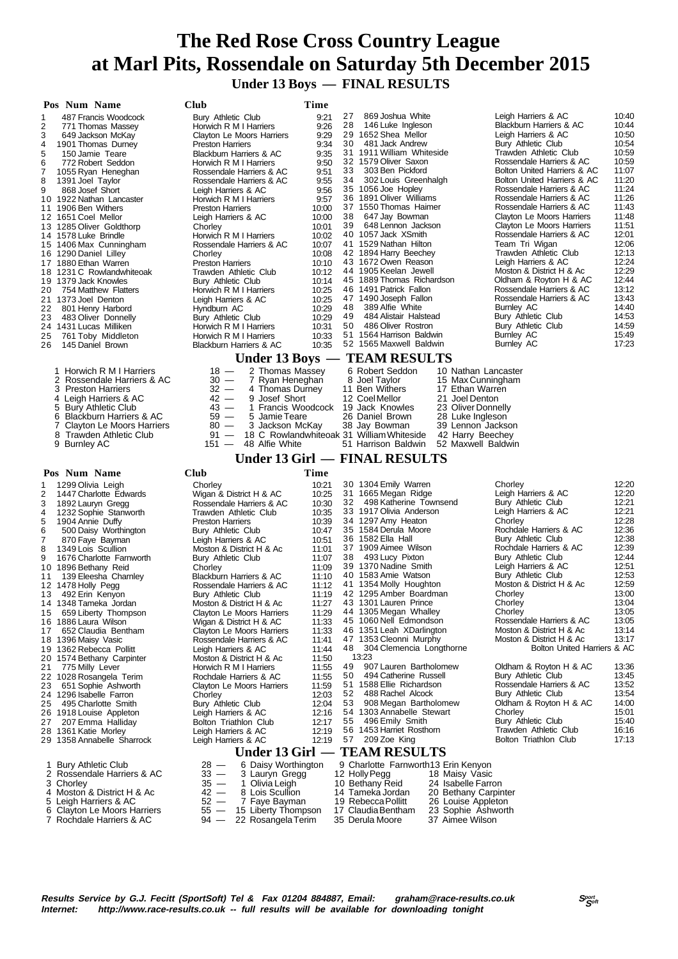**Under 13 Boys — FINAL RESULTS**

| Pos Num Name                                                                                                                                                                                                                                                                                                                                                                                                                                                                                                                                                                                                                                                                         | Club                                                                                                                                                                                                                                                                                                                                                                                                                                                                                                                                                                                                                            | Time                                                                                                                                                                                                                 |                                                                                                                                                                                                                                                                                                                                                                                                                                                                                                                                                                                                                                                                    |                                                                                                                                                                                                                                                                                                                                                                                                                                                                                                                                                                                                                                                         |                                                                                                                                                                                                                               |
|--------------------------------------------------------------------------------------------------------------------------------------------------------------------------------------------------------------------------------------------------------------------------------------------------------------------------------------------------------------------------------------------------------------------------------------------------------------------------------------------------------------------------------------------------------------------------------------------------------------------------------------------------------------------------------------|---------------------------------------------------------------------------------------------------------------------------------------------------------------------------------------------------------------------------------------------------------------------------------------------------------------------------------------------------------------------------------------------------------------------------------------------------------------------------------------------------------------------------------------------------------------------------------------------------------------------------------|----------------------------------------------------------------------------------------------------------------------------------------------------------------------------------------------------------------------|--------------------------------------------------------------------------------------------------------------------------------------------------------------------------------------------------------------------------------------------------------------------------------------------------------------------------------------------------------------------------------------------------------------------------------------------------------------------------------------------------------------------------------------------------------------------------------------------------------------------------------------------------------------------|---------------------------------------------------------------------------------------------------------------------------------------------------------------------------------------------------------------------------------------------------------------------------------------------------------------------------------------------------------------------------------------------------------------------------------------------------------------------------------------------------------------------------------------------------------------------------------------------------------------------------------------------------------|-------------------------------------------------------------------------------------------------------------------------------------------------------------------------------------------------------------------------------|
| 487 Francis Woodcock<br>1<br>2<br>771 Thomas Massev<br>3<br>649 Jackson McKay<br>4<br>1901 Thomas Durney<br>5<br>150 Jamie Teare<br>6<br>772 Robert Seddon<br>7<br>1055 Ryan Heneghan<br>8<br>1391 Joel Taylor<br>9<br>868 Josef Short<br>10 1922 Nathan Lancaster<br>11 1906 Ben Withers<br>12 1651 Coel Mellor<br>13 1285 Oliver Goldthorp<br>14 1578 Luke Brindle<br>15 1406 Max Cunningham<br>16 1290 Daniel Lilley<br>17 1880 Ethan Warren<br>18 1231 C Rowlandwhiteoak<br>19 1379 Jack Knowles<br>754 Matthew Flatters<br>20<br>21 1373 Joel Denton<br>22 801 Henry Harbord<br>23 483 Oliver Donnelly<br>24 1431 Lucas Milliken<br>25<br>761 Toby Middleton                    | Bury Athletic Club<br>Horwich R M I Harriers<br>Clayton Le Moors Harriers<br><b>Preston Harriers</b><br><b>Blackburn Harriers &amp; AC</b><br>Horwich R M I Harriers<br>Rossendale Harriers & AC<br>Rossendale Harriers & AC<br>Leigh Harriers & AC<br>Horwich R M I Harriers<br><b>Preston Harriers</b><br>Leigh Harriers & AC<br>Chorley<br>Horwich R M I Harriers<br>Rossendale Harriers & AC<br>Chorley<br><b>Preston Harriers</b><br>Trawden Athletic Club<br>Bury Athletic Club<br>Horwich R M I Harriers<br>Leigh Harriers & AC<br>Hyndburn AC<br>Bury Athletic Club<br>Horwich R M I Harriers<br>Horwich R M I Harriers | 9:21<br>9:26<br>9:29<br>9:34<br>9:35<br>9:50<br>9:51<br>9:55<br>9:56<br>9:57<br>10:00<br>10:00<br>10:01<br>10:02<br>10:07<br>10:08<br>10:10<br>10:12<br>10:14<br>10:25<br>10:25<br>10:29<br>10:29<br>10:31<br>10:33  | 27<br>869 Joshua White<br>28<br>146 Luke Ingleson<br>29 1652 Shea Mellor<br>30 481 Jack Andrew<br>31 1911 William Whiteside<br>32 1579 Oliver Saxon<br>33<br>303 Ben Pickford<br>34<br>302 Louis Greenhalgh<br>35 1056 Joe Hopley<br>36 1891 Oliver Williams<br>37 1550 Thomas Haimer<br>647 Jay Bowman<br>38<br>648 Lennon Jackson<br>39<br>40 1057 Jack XSmith<br>41 1529 Nathan Hilton<br>42 1894 Harry Beechey<br>43 1672 Owen Reason<br>44 1905 Keelan Jewell<br>45 1889 Thomas Richardson<br>46 1491 Patrick Fallon<br>47 1490 Joseph Fallon<br>389 Alfie White<br>48<br>49<br>484 Alistair Halstead<br>50<br>486 Oliver Rostron<br>51 1564 Harrison Baldwin | Leigh Harriers & AC<br>Blackburn Harriers & AC<br>Leigh Harriers & AC<br>Bury Athletic Club<br>Trawden Athletic Club<br>Rossendale Harriers & AC<br>Bolton United Harriers & AC<br>Bolton United Harriers & AC<br>Rossendale Harriers & AC<br>Rossendale Harriers & AC<br>Rossendale Harriers & AC<br>Clayton Le Moors Harriers<br>Clayton Le Moors Harriers<br>Rossendale Harriers & AC<br>Team Tri Wigan<br>Trawden Athletic Club<br>Leigh Harriers & AC<br>Moston & District H & Ac<br>Oldham & Royton H & AC<br>Rossendale Harriers & AC<br>Rossendale Harriers & AC<br>Burnley AC<br>Bury Athletic Club<br>Bury Athletic Club<br><b>Burnley AC</b> | 10:40<br>10:44<br>10:50<br>10:54<br>10:59<br>10:59<br>11:07<br>11:20<br>11:24<br>11:26<br>11:43<br>11:48<br>11:51<br>12:01<br>12:06<br>12:13<br>12:24<br>12:29<br>12:44<br>13:12<br>13:43<br>14:40<br>14:53<br>14:59<br>15:49 |
| 145 Daniel Brown<br>26                                                                                                                                                                                                                                                                                                                                                                                                                                                                                                                                                                                                                                                               | Blackburn Harriers & AC                                                                                                                                                                                                                                                                                                                                                                                                                                                                                                                                                                                                         | 10:35                                                                                                                                                                                                                | 52 1565 Maxwell Baldwin<br>Under 13 Boys — TEAM RESULTS                                                                                                                                                                                                                                                                                                                                                                                                                                                                                                                                                                                                            | Burnley AC                                                                                                                                                                                                                                                                                                                                                                                                                                                                                                                                                                                                                                              | 17:23                                                                                                                                                                                                                         |
| 1 Horwich R M I Harriers<br>2 Rossendale Harriers & AC<br>3 Preston Harriers<br>4 Leigh Harriers & AC<br><b>Bury Athletic Club</b><br>5<br><b>Blackburn Harriers &amp; AC</b><br>6<br>Clayton Le Moors Harriers<br>7<br>Trawden Athletic Club<br>8<br>9 Burnley AC                                                                                                                                                                                                                                                                                                                                                                                                                   | 2 Thomas Massey<br>$18 -$<br>$30 -$<br>7 Ryan Heneghan<br>$32 -$<br>4 Thomas Durney<br>9 Josef Short<br>$42 -$<br>43 —<br>59 —<br>5 Jamie Teare<br>3 Jackson McKay<br>$80 -$<br>$91 -$<br>$151 -$<br>48 Alfie White                                                                                                                                                                                                                                                                                                                                                                                                             |                                                                                                                                                                                                                      | 6 Robert Seddon<br>10 Nathan Lancaster<br>8 Joel Taylor<br>15 Max Cunningham<br>11 Ben Withers<br>17 Ethan Warren<br>12 Coel Mellor<br>21 Joel Denton<br>1 Francis Woodcock 19 Jack Knowles<br>23 Oliver Donnelly<br>26 Daniel Brown<br>28 Luke Ingleson<br>38 Jay Bowman<br>39 Lennon Jackson<br>18 C Rowlandwhiteoak 31 William Whiteside<br>42 Harry Beechey<br>51 Harrison Baldwin<br>52 Maxwell Baldwin<br>Under 13 Girl — FINAL RESULTS                                                                                                                                                                                                                      |                                                                                                                                                                                                                                                                                                                                                                                                                                                                                                                                                                                                                                                         |                                                                                                                                                                                                                               |
|                                                                                                                                                                                                                                                                                                                                                                                                                                                                                                                                                                                                                                                                                      |                                                                                                                                                                                                                                                                                                                                                                                                                                                                                                                                                                                                                                 | Time                                                                                                                                                                                                                 |                                                                                                                                                                                                                                                                                                                                                                                                                                                                                                                                                                                                                                                                    |                                                                                                                                                                                                                                                                                                                                                                                                                                                                                                                                                                                                                                                         |                                                                                                                                                                                                                               |
| Pos Num Name<br>1299 Olivia Leigh<br>1<br>2<br>1447 Charlotte Edwards<br>3<br>1892 Lauryn Gregg<br>4<br>1232 Sophie Stanworth<br>5<br>1904 Annie Duffy<br>6<br>500 Daisy Worthington<br>7<br>870 Faye Bayman<br>1349 Lois Scullion<br>8<br>9<br>1676 Charlotte Farnworth<br>10 1896 Bethany Reid<br>11<br>139 Eleesha Charnley<br>12 1478 Holly Pegg<br>492 Erin Kenyon<br>13<br>14 1348 Tameka Jordan<br>659 Liberty Thompson<br>15<br>16 1886 Laura Wilson<br>652 Claudia Bentham<br>17<br>18 1396 Maisy Vasic<br>19 1362 Rebecca Pollitt<br>20 1574 Bethany Carpinter<br>775 Milly Lever<br>21<br>22 1028 Rosangela Terim<br>651 Sophie Ashworth<br>23<br>24 1296 Isabelle Farron | Club<br>Chorley<br>Wigan & District H & AC<br>Rossendale Harriers & AC<br>Trawden Athletic Club<br><b>Preston Harriers</b><br>Bury Athletic Club<br>Leigh Harriers & AC<br>Moston & District H & Ac<br>Bury Athletic Club<br>Chorley<br><b>Blackburn Harriers &amp; AC</b><br>Rossendale Harriers & AC<br><b>Bury Athletic Club</b><br>Moston & District H & Ac<br>Clayton Le Moors Harriers<br>Wigan & District H & AC<br>Clayton Le Moors Harriers<br>Rossendale Harriers & AC<br>Leigh Harriers & AC<br>Moston & District H & Ac<br>Horwich R M I Harriers<br>Rochdale Harriers & AC<br>Clayton Le Moors Harriers<br>Chorley | 10:21<br>10:25<br>10:30<br>10:35<br>10:39<br>10:47<br>10:51<br>11:01<br>11:07<br>11:09<br>11:10<br>11:12<br>11:19<br>11:27<br>11:29<br>11:33<br>11:33<br>11:41<br>11:44<br>11:50<br>11:55<br>11:55<br>11:59<br>12:03 | 30 1304 Emily Warren<br>31 1665 Megan Ridge<br>32 498 Katherine Townsend<br>33 1917 Olivia Anderson<br>34 1297 Amy Heaton<br>35 1584 Derula Moore<br>36 1582 Ella Hall<br>37 1909 Aimee Wilson<br>493 Lucy Pixton<br>38<br>39 1370 Nadine Smith<br>40 1583 Amie Watson<br>41 1354 Molly Houghton<br>42 1295 Amber Boardman<br>43 1301 Lauren Prince<br>44 1305 Megan Whalley<br>45 1060 Nell Edmondson<br>46 1351 Leah XDarlington<br>47 1353 Cleonni Murphy<br>304 Clemencia Longthorne<br>48<br>13:23<br>907 Lauren Bartholomew<br>49<br>494 Catherine Russell<br>50<br>51 1588 Ellie Richardson<br>488 Rachel Alcock<br>52                                      | Chorley<br>Leigh Harriers & AC<br>Bury Athletic Club<br>Leigh Harriers & AC<br>Chorley<br>Rochdale Harriers & AC<br>Bury Athletic Club<br>Rochdale Harriers & AC<br>Bury Athletic Club<br>Leigh Harriers & AC<br>Bury Athletic Club<br>Moston & District H & Ac<br>Chorley<br>Chorley<br>Chorley<br>Rossendale Harriers & AC<br>Moston & District H & Ac<br>Moston & District H & Ac<br>Bolton United Harriers & AC<br>Oldham & Royton H & AC<br>Bury Athletic Club<br>Rossendale Harriers & AC<br>Bury Athletic Club                                                                                                                                   | 12:20<br>12:20<br>12:21<br>12:21<br>12:28<br>12:36<br>12:38<br>12:39<br>12:44<br>12:51<br>12:53<br>12:59<br>13:00<br>13:04<br>13:05<br>13:05<br>13:14<br>13:17<br>13:36<br>13:45<br>13:52<br>13:54                            |
| 495 Charlotte Smith<br>25<br>26 1918 Louise Appleton<br>27<br>207 Emma Halliday<br>28 1361 Katie Morley                                                                                                                                                                                                                                                                                                                                                                                                                                                                                                                                                                              | Bury Athletic Club<br>Leigh Harriers & AC<br>Bolton Triathlon Club<br>Leigh Harriers & AC                                                                                                                                                                                                                                                                                                                                                                                                                                                                                                                                       | 12:04<br>12:16<br>12:17<br>12:19                                                                                                                                                                                     | 908 Megan Bartholomew<br>53<br>54 1303 Annabelle Stewart<br>496 Emily Smith<br>55<br>56 1453 Harriet Rosthorn                                                                                                                                                                                                                                                                                                                                                                                                                                                                                                                                                      | Oldham & Royton H & AC<br>Chorley<br>Bury Athletic Club<br>Trawden Athletic Club                                                                                                                                                                                                                                                                                                                                                                                                                                                                                                                                                                        | 14:00<br>15:01<br>15:40<br>16:16                                                                                                                                                                                              |

- 
- 28 1361 Katie Morley Leigh Harriers & AC 12:19 29 1358 Annabelle Sharrock Leigh Harriers & AC 12:19
- 
- 
- 
- 
- 
- 
- 

**Under 13 Girl — TEAM RESULTS**<br>  $28 - 6$  Daisy Worthington 9 Charlotte Farnworth13 E<br>  $33 - 3$  Lauryn Gregg 12 Holly Pegg 18 M 1 Bury Athletic Club 28 — 6 Daisy Worthington 9 Charlotte Farnworth13 Erin Kenyon 2 Rossendale Harriers & AC 33 — 3 Lauryn Gregg 12 Holly Pegg 18 Maisy Vasic

- 3 Chorley 35 1 Olivia Leigh 10 Bethany Reid 24 Isabelle Farron
- 6 Clayton Le Moors Harriers 55 15 Liberty Thompson 17 Claudia Bentham 23 Sophie Ashw<br>7 Rochdale Harriers & AC 94 22 Rosangela Terim 35 Derula Moore 37 Aimee Wilson
- 7 Rochdale Harriers & AC 94 22 Rosangela Terim
- 2 November 24 Isabelle Farron<br>
4 Moston & District H & Ac 42 8 Lois Scullion 14 Tameka Jordan 20 Bethany Carpinter<br>
5 Leigh Harriers & AC 52 7 Faye Bayman 19 Rebecca Pollitt 26 Louise Appleton<br>
6 Clayton Le Moors Harri 5 Leigh Harriers & AC 52 - 7 Faye Bayman 19 Rebecca Pollitt 26 Louise Appleton 6 Clayton Le Moors Harriers 55 - 15 Liberty Thompson 17 Claudia Bentham 23 Sophie Ashworth
	-

57 209 Zoe King **Bolton Triathlon Club** 17:13

- **Results Service by G.J. Fecitt (SportSoft) Tel & Fax 01204 884887, Email: graham@race-results.co.uk Spect by Gene<br>
Internet: http://www.race-results.co.uk -- full results will be available for downloading tonight** http://www.race-results.co.uk -- full results will be available for downloading tonight
	-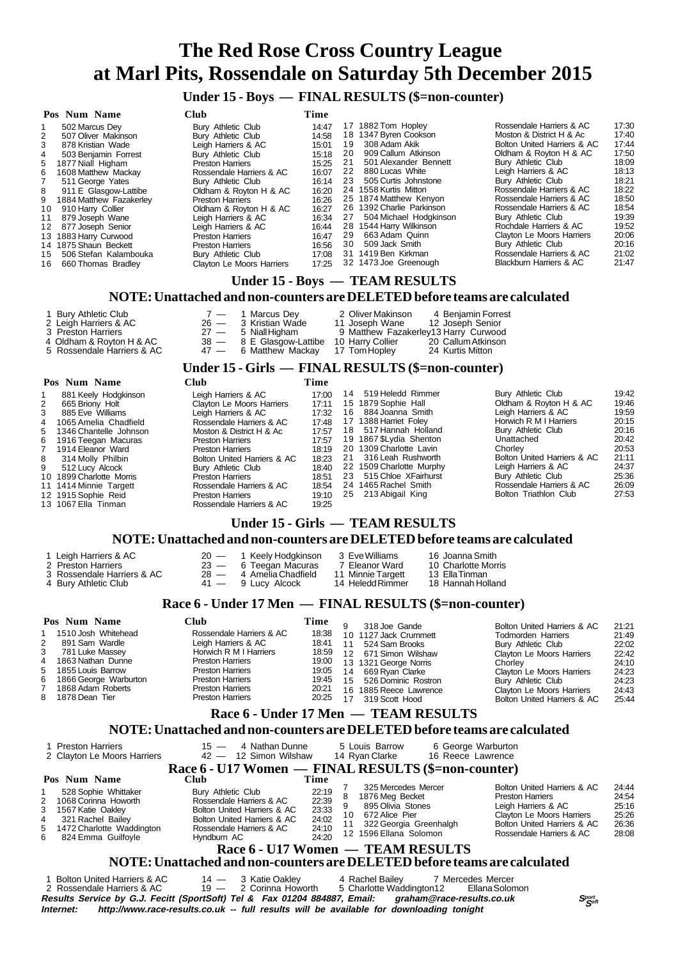**Under 15 - Boys — FINAL RESULTS (\$=non-counter)**

| Pos Num Name                   | Club                      | Time  |    |                           |                             |       |  |  |  |  |
|--------------------------------|---------------------------|-------|----|---------------------------|-----------------------------|-------|--|--|--|--|
| 502 Marcus Dey                 | Bury Athletic Club        | 14:47 |    | 17 1882 Tom Hopley        | Rossendale Harriers & AC    | 17:30 |  |  |  |  |
| 507 Oliver Makinson            | Bury Athletic Club        | 14:58 |    | 18 1347 Byren Cookson     | Moston & District H & Ac    | 17:40 |  |  |  |  |
| 3<br>878 Kristian Wade         | Leigh Harriers & AC       | 15:01 | 19 | 308 Adam Akik             | Bolton United Harriers & AC | 17:44 |  |  |  |  |
| 503 Benjamin Forrest<br>4      | Bury Athletic Club        | 15:18 | 20 | 909 Callum Atkinson       | Oldham & Royton H & AC      | 17:50 |  |  |  |  |
| 1877 Niall Higham<br>5.        | <b>Preston Harriers</b>   | 15:25 | 21 | 501 Alexander Bennett     | Bury Athletic Club          | 18:09 |  |  |  |  |
| 1608 Matthew Mackay<br>6.      | Rossendale Harriers & AC  | 16:07 | 22 | 880 Lucas White           | Leigh Harriers & AC         | 18:13 |  |  |  |  |
| 511 George Yates               | Bury Athletic Club        | 16:14 | 23 | 505 Curtis Johnstone      | Bury Athletic Club          | 18:21 |  |  |  |  |
| 911 E Glasgow-Lattibe<br>8     | Oldham & Royton H & AC    | 16:20 |    | 24 1558 Kurtis Mitton     | Rossendale Harriers & AC    | 18:22 |  |  |  |  |
| 1884 Matthew Fazakerley<br>9   | <b>Preston Harriers</b>   | 16:26 |    | 25 1874 Matthew Kenyon    | Rossendale Harriers & AC    | 18:50 |  |  |  |  |
| 910 Harry Collier<br>10        | Oldham & Royton H & AC    | 16:27 |    | 26 1392 Charlie Parkinson | Rossendale Harriers & AC    | 18:54 |  |  |  |  |
| 879 Joseph Wane<br>11          | Leigh Harriers & AC       | 16:34 | 27 | 504 Michael Hodgkinson    | Bury Athletic Club          | 19:39 |  |  |  |  |
| 877 Joseph Senior<br>12        | Leigh Harriers & AC       | 16:44 |    | 28 1544 Harry Wilkinson   | Rochdale Harriers & AC      | 19:52 |  |  |  |  |
| 13 1883 Harry Curwood          | <b>Preston Harriers</b>   | 16:47 | 29 | 663 Adam Quinn            | Clayton Le Moors Harriers   | 20:06 |  |  |  |  |
| 14 1875 Shaun Beckett          | <b>Preston Harriers</b>   | 16:56 | 30 | 509 Jack Smith            | Bury Athletic Club          | 20:16 |  |  |  |  |
| 506 Stefan Kalambouka<br>15    | Bury Athletic Club        | 17:08 |    | 31 1419 Ben Kirkman       | Rossendale Harriers & AC    | 21:02 |  |  |  |  |
| 660 Thomas Bradley<br>16       | Clayton Le Moors Harriers | 17:25 |    | 32 1473 Joe Greenough     | Blackburn Harriers & AC     | 21:47 |  |  |  |  |
| Under 15 - Boys — TEAM RESULTS |                           |       |    |                           |                             |       |  |  |  |  |

#### **NOTE: Unattached and non-counters are DELETED before teams are calculated**

| 1 Bury Athletic Club       | $7 - 1$ Marcus Dev                  | 2 Oliver Makinson                    | 4 Beniamin Forrest |
|----------------------------|-------------------------------------|--------------------------------------|--------------------|
| 2 Leigh Harriers & AC      | 26 - 3 Kristian Wade                | 11 Joseph Wane                       | 12 Joseph Senior   |
| 3 Preston Harriers         | $27 - 5$ Niall Higham               | 9 Matthew Fazakerley13 Harry Curwood |                    |
| 4 Oldham & Rovton H & AC   | $38 - 8$ E Glasgow-Lattibe          | 10 Harry Collier                     | 20 Callum Atkinson |
| 5 Rossendale Harriers & AC | 47 - 6 Matthew Mackay 17 Tom Hopley |                                      | 24 Kurtis Mitton   |

#### **Under 15 - Girls — FINAL RESULTS (\$=non-counter)**

|   | Pos Num Name             | Club                        | Time  |    |                          |                             |       |
|---|--------------------------|-----------------------------|-------|----|--------------------------|-----------------------------|-------|
|   | 881 Keely Hodgkinson     | Leigh Harriers & AC         | 17:00 | 14 | 519 Heledd Rimmer        | Bury Athletic Club          | 19:42 |
| 2 | 665 Briony Holt          | Clayton Le Moors Harriers   | 17:11 |    | 15 1879 Sophie Hall      | Oldham & Royton H & AC      | 19:46 |
| 3 | 885 Eve Williams         | Leigh Harriers & AC         | 17:32 | 16 | 884 Joanna Smith         | Leigh Harriers & AC         | 19:59 |
| 4 | 1065 Amelia Chadfield    | Rossendale Harriers & AC    | 17:48 |    | 17 1388 Harriet Foley    | Horwich R M I Harriers      | 20:15 |
|   | 5 1346 Chantelle Johnson | Moston & District H & Ac    | 17:57 | 18 | 517 Hannah Holland       | Bury Athletic Club          | 20:16 |
|   | 6 1916 Teegan Macuras    | <b>Preston Harriers</b>     | 17:57 |    | 19 1867 SLydia Shenton   | Unattached                  | 20:42 |
| 7 | 1914 Eleanor Ward        | <b>Preston Harriers</b>     | 18:19 |    | 20 1309 Charlotte Lavin  | Chorley                     | 20:53 |
| 8 | 314 Molly Philbin        | Bolton United Harriers & AC | 18:23 | 21 | 316 Leah Rushworth       | Bolton United Harriers & AC | 21:11 |
| 9 | 512 Lucy Alcock          | Bury Athletic Club          | 18:40 |    | 22 1509 Charlotte Murphy | Leigh Harriers & AC         | 24:37 |
|   | 10 1899 Charlotte Morris | <b>Preston Harriers</b>     | 18:51 | 23 | 515 Chloe XFairhurst     | Bury Athletic Club          | 25:36 |
|   | 11 1414 Minnie Targett   | Rossendale Harriers & AC    | 18:54 |    | 24 1465 Rachel Smith     | Rossendale Harriers & AC    | 26:09 |
|   | 12 1915 Sophie Reid      | <b>Preston Harriers</b>     | 19:10 | 25 | 213 Abigail King         | Bolton Triathlon Club       | 27:53 |
|   | 13 1067 Ella Tinman      | Rossendale Harriers & AC    | 19:25 |    |                          |                             |       |

# **Under 15 - Girls — TEAM RESULTS**

### **NOTE: Unattached and non-counters are DELETED before teams are calculated**

| 1 Leigh Harriers & AC      | 20 — 1 Keely Hodgkinson | 3 EveWilliams     | 16. Joanna Smith    |
|----------------------------|-------------------------|-------------------|---------------------|
| 2 Preston Harriers         | 23 - 6 Teegan Macuras   | 7 Eleanor Ward    | 10 Charlotte Morris |
| 3 Rossendale Harriers & AC | 28 — 4 Amelia Chadfield | 11 Minnie Targett | 13 Ella Tinman      |
| 4 Bury Athletic Club       | 41 — 9 Lucy Alcock      | 14 Heledd Rimmer  | 18 Hannah Holland   |

# **Race 6 - Under 17 Men — FINAL RESULTS (\$=non-counter)**

|   | Pos Num Name            | Club                     | Time  |                 | 318 Joe Gande          | Bolton United Harriers & AC | 21:21 |
|---|-------------------------|--------------------------|-------|-----------------|------------------------|-----------------------------|-------|
|   | 1510 Josh Whitehead     | Rossendale Harriers & AC | 18:38 |                 | 10 1127 Jack Crummett  | <b>Todmorden Harriers</b>   | 21:49 |
| 2 | 891 Sam Wardle          | Leigh Harriers & AC      | 18:41 | 11              | 524 Sam Brooks         | Bury Athletic Club          | 22:02 |
| 3 | 781 Luke Massey         | Horwich R M I Harriers   | 18:59 | 12 <sub>1</sub> | 671 Simon Wilshaw      | Clayton Le Moors Harriers   | 22:42 |
|   | 4 1863 Nathan Dunne     | <b>Preston Harriers</b>  | 19:00 |                 | 13 1321 George Norris  | Chorley                     | 24:10 |
|   | 5 1855 Louis Barrow     | <b>Preston Harriers</b>  | 19:05 | 14              | 669 Rvan Clarke        | Clayton Le Moors Harriers   | 24:23 |
|   | 6 1866 George Warburton | <b>Preston Harriers</b>  | 19:45 | 15              | 526 Dominic Rostron    | Bury Athletic Club          | 24:23 |
|   | 7 1868 Adam Roberts     | <b>Preston Harriers</b>  | 20:21 |                 | 16 1885 Reece Lawrence | Clayton Le Moors Harriers   | 24:43 |
|   | 8 1878 Dean Tier        | <b>Preston Harriers</b>  | 20:25 | 17              | 319 Scott Hood         | Bolton United Harriers & AC | 25:44 |
|   |                         |                          |       |                 |                        |                             |       |

## **Race 6 - Under 17 Men — TEAM RESULTS**

## **NOTE: Unattached and non-counters are DELETED before teams are calculated**

| <b>Preston Harriers</b><br>2 Clayton Le Moors Harriers                                                                                                       | 4 Nathan Dunne<br>$15 -$<br>42 - 12 Simon Wilshaw                                                                                                       |                                                    |         | 5 Louis Barrow<br>14 Ryan Clarke                                                                           | 16 Reece Lawrence | 6 George Warburton                                                                                                                     |                                           |  |
|--------------------------------------------------------------------------------------------------------------------------------------------------------------|---------------------------------------------------------------------------------------------------------------------------------------------------------|----------------------------------------------------|---------|------------------------------------------------------------------------------------------------------------|-------------------|----------------------------------------------------------------------------------------------------------------------------------------|-------------------------------------------|--|
| Pos Num Name                                                                                                                                                 | Race 6 - U17 Women — FINAL RESULTS (\$=non-counter)<br>Club                                                                                             | Time                                               |         | 325 Mercedes Mercer                                                                                        |                   | Bolton United Harriers & AC                                                                                                            | 24:44                                     |  |
| 528 Sophie Whittaker<br>2 1068 Corinna Howorth<br>1567 Katie Oakley<br>3<br>321 Rachel Bailey<br>4<br>5 1472 Charlotte Waddington<br>824 Emma Guilfoyle<br>6 | Bury Athletic Club<br>Rossendale Harriers & AC<br>Bolton United Harriers & AC<br>Bolton United Harriers & AC<br>Rossendale Harriers & AC<br>Hyndburn AC | 22:19<br>22:39<br>23:33<br>24:02<br>24:10<br>24:20 | 8<br>10 | 1876 Meg Becket<br>895 Olivia Stones<br>672 Alice Pier<br>322 Georgia Greenhalgh<br>12 1596 Ellana Solomon |                   | <b>Preston Harriers</b><br>Leigh Harriers & AC<br>Clayton Le Moors Harriers<br>Bolton United Harriers & AC<br>Rossendale Harriers & AC | 24:54<br>25:16<br>25:26<br>26:36<br>28:08 |  |
| Race 6 - U17 Women — TEAM RESULTS<br>NOTE: Unattached and non-counters are DELETED before teams are calculated                                               |                                                                                                                                                         |                                                    |         |                                                                                                            |                   |                                                                                                                                        |                                           |  |

| Bolton United Harriers & AC<br>2 Rossendale Harriers & AC                                           | 14 — 3 Katie Oakley<br>19 — 2 Corinna Howorth | 4 Rachel Bailev<br>5 Charlotte Waddington12 Ellana Solomon                              | 7 Mercedes Mercer |              |
|-----------------------------------------------------------------------------------------------------|-----------------------------------------------|-----------------------------------------------------------------------------------------|-------------------|--------------|
| Results Service by G.J. Fecitt (SportSoft) Tel & Fax 01204 884887, Email: graham@race-results.co.uk |                                               |                                                                                         |                   | <b>Sport</b> |
| Internet:                                                                                           |                                               | http://www.race-results.co.uk -- full results will be available for downloading tonight |                   |              |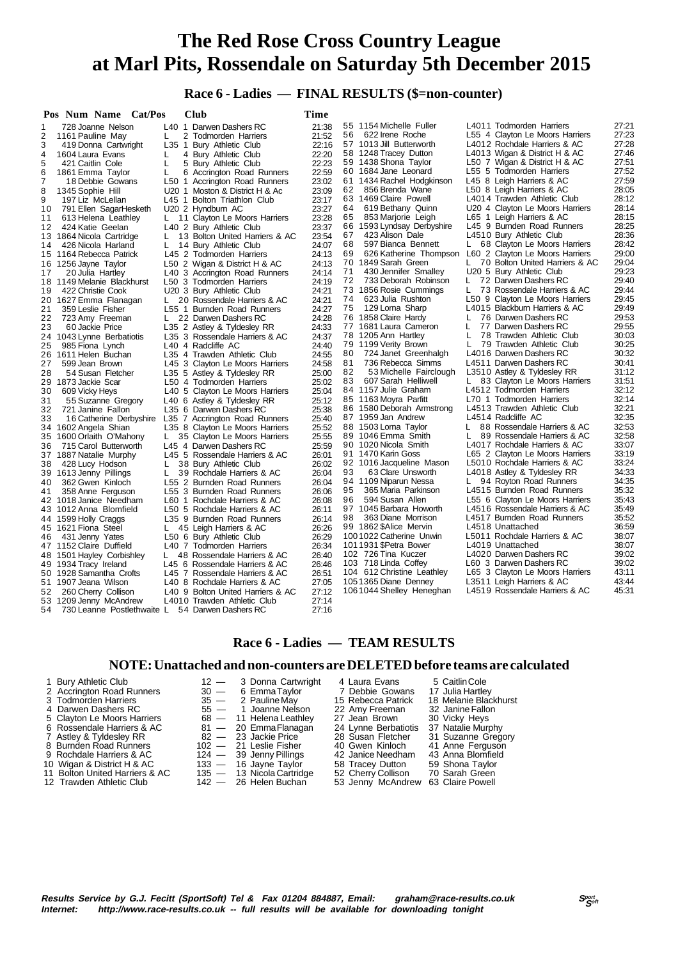### **Race 6 - Ladies — FINAL RESULTS (\$=non-counter)**

|          | Pos Num Name Cat/Pos                             |    | Club                                                              | Time           |    |                                                        |    |                                                          |                |
|----------|--------------------------------------------------|----|-------------------------------------------------------------------|----------------|----|--------------------------------------------------------|----|----------------------------------------------------------|----------------|
| 1        | 728 Joanne Nelson                                |    | L40 1 Darwen Dashers RC                                           | 21:38          |    | 55 1154 Michelle Fuller                                |    | L4011 Todmorden Harriers                                 | 27:21          |
| 2        | 1161 Pauline May                                 | L  | 2 Todmorden Harriers                                              | 21:52          | 56 | 622 Irene Roche                                        |    | L55 4 Clayton Le Moors Harriers                          | 27:23          |
| 3        | 419 Donna Cartwright                             |    | L35 1 Bury Athletic Club                                          | 22:16          |    | 57 1013 Jill Butterworth                               |    | L4012 Rochdale Harriers & AC                             | 27:28          |
| 4        | 1604 Laura Evans                                 | L  | 4 Bury Athletic Club                                              | 22:20          |    | 58 1248 Tracey Dutton                                  |    | L4013 Wigan & District H & AC                            | 27:46          |
| 5        | 421 Caitlin Cole                                 | L  | 5 Bury Athletic Club                                              | 22:23          |    | 59 1438 Shona Taylor                                   |    | L50 7 Wigan & District H & AC                            | 27:51          |
| 6        | 1861 Emma Taylor                                 | L  | 6 Accrington Road Runners                                         | 22:59          |    | 60 1684 Jane Leonard                                   |    | L55 5 Todmorden Harriers                                 | 27:52          |
| 7        | 18 Debbie Gowans                                 |    | L50 1 Accrington Road Runners                                     | 23:02          |    | 61 1434 Rachel Hodgkinson                              |    | L45 8 Leigh Harriers & AC                                | 27:59          |
| 8        | 1345 Sophie Hill                                 |    | U20 1 Moston & District H & Ac                                    | 23:09          | 62 | 856 Brenda Wane                                        |    | L50 8 Leigh Harriers & AC                                | 28:05          |
| 9        | 197 Liz McLellan                                 |    | L45 1 Bolton Triathlon Club                                       | 23:17          |    | 63 1469 Claire Powell                                  |    | L4014 Trawden Athletic Club                              | 28:12          |
| 10       | 791 Ellen SagarHesketh                           |    | U20 2 Hyndburn AC                                                 | 23:27          | 64 | 619 Bethany Quinn                                      |    | U20 4 Clayton Le Moors Harriers                          | 28:14          |
| 11       | 613 Helena Leathley                              | L. | 11 Clayton Le Moors Harriers                                      | 23:28          | 65 | 853 Marjorie Leigh                                     |    | L65 1 Leigh Harriers & AC                                | 28:15          |
| 12       | 424 Katie Geelan                                 |    | L40 2 Bury Athletic Club                                          | 23:37          |    | 66 1593 Lyndsay Derbyshire                             |    | L45 9 Burnden Road Runners                               | 28:25          |
|          | 13 1864 Nicola Cartridge                         | L  | 13 Bolton United Harriers & AC                                    | 23:54          | 67 | 423 Alison Dale                                        |    | L4510 Bury Athletic Club                                 | 28:36          |
| 14       | 426 Nicola Harland                               | L. | 14 Bury Athletic Club                                             | 24:07          | 68 | 597 Bianca Bennett                                     | L. | 68 Clayton Le Moors Harriers                             | 28:42          |
|          | 15 1164 Rebecca Patrick                          |    | L45 2 Todmorden Harriers                                          | 24:13          | 69 | 626 Katherine Thompson L60 2 Clayton Le Moors Harriers |    |                                                          | 29:00          |
|          | 16 1256 Jayne Taylor                             |    | L50 2 Wigan & District H & AC                                     | 24:13          |    | 70 1849 Sarah Green                                    |    | 70 Bolton United Harriers & AC                           | 29:04          |
| 17       | 20 Julia Hartley                                 |    | L40 3 Accrington Road Runners                                     | 24:14          | 71 | 430 Jennifer Smalley                                   |    | U20 5 Bury Athletic Club                                 | 29:23          |
|          | 18 1149 Melanie Blackhurst                       |    | L50 3 Todmorden Harriers                                          | 24:19          | 72 | 733 Deborah Robinson                                   | L. | 72 Darwen Dashers RC                                     | 29:40          |
| 19       | 422 Christie Cook                                |    | U20 3 Bury Athletic Club                                          | 24:21          |    | 73 1856 Rosie Cummings                                 | L  | 73 Rossendale Harriers & AC                              | 29:44          |
| 20       | 1627 Emma Flanagan                               | L. | 20 Rossendale Harriers & AC                                       | 24:21          | 74 | 623 Julia Rushton                                      |    | L50 9 Clayton Le Moors Harriers                          | 29:45          |
| 21       | 359 Leslie Fisher                                |    | L55 1 Burnden Road Runners                                        | 24:27          | 75 | 129 Lorna Sharp                                        |    | L4015 Blackburn Harriers & AC                            | 29:49          |
| 22       | 723 Amy Freeman                                  | L. | 22 Darwen Dashers RC                                              | 24:28          |    | 76 1858 Claire Hardy                                   | L  | 76 Darwen Dashers RC                                     | 29:53          |
| 23       | 60 Jackie Price                                  |    | L35 2 Astley & Tyldesley RR                                       | 24:33          |    | 77 1681 Laura Cameron                                  | L  | 77 Darwen Dashers RC                                     | 29:55          |
|          | 24 1043 Lynne Berbatiotis                        |    | L35 3 Rossendale Harriers & AC                                    | 24:37          |    | 78 1205 Ann Hartley                                    | Ι. | 78 Trawden Athletic Club                                 | 30:03          |
| 25       | 985 Fiona Lynch                                  |    | L40 4 Radcliffe AC                                                | 24:40          |    | 79 1199 Verity Brown                                   | L  | 79 Trawden Athletic Club                                 | 30:25          |
| 26       | 1611 Helen Buchan                                |    | L35 4 Trawden Athletic Club                                       | 24:55          | 80 | 724 Janet Greenhalgh                                   |    | L4016 Darwen Dashers RC                                  | 30:32          |
| 27       | 599 Jean Brown                                   |    | L45 3 Clayton Le Moors Harriers                                   | 24:58          | 81 | 736 Rebecca Simms                                      |    | L4511 Darwen Dashers RC                                  | 30:41<br>31:12 |
| 28       | 54 Susan Fletcher                                |    | L35 5 Astley & Tyldesley RR                                       | 25:00          | 82 | 53 Michelle Fairclough                                 |    | L3510 Astley & Tyldesley RR                              |                |
| 29       | 1873 Jackie Scar                                 |    | L50 4 Todmorden Harriers                                          | 25:02          | 83 | 607 Sarah Helliwell<br>84 1157 Julie Graham            |    | 83 Clayton Le Moors Harriers<br>L4512 Todmorden Harriers | 31:51<br>32:12 |
| 30       | 609 Vicky Heys                                   |    | L40 5 Clayton Le Moors Harriers                                   | 25:04          |    | 85 1163 Moyra Parfitt                                  |    | L70 1 Todmorden Harriers                                 | 32:14          |
| 31       | 55 Suzanne Gregory                               |    | L40 6 Astley & Tyldesley RR                                       | 25:12          |    | 86 1580 Deborah Armstrong                              |    | L4513 Trawden Athletic Club                              | 32:21          |
| 32<br>33 | 721 Janine Fallon                                |    | L35 6 Darwen Dashers RC                                           | 25:38<br>25:40 |    | 87 1959 Jan Andrew                                     |    | L4514 Radcliffe AC                                       | 32:35          |
|          | 16 Catherine Derbyshire                          |    | L35 7 Accrington Road Runners                                     | 25:52          |    | 88 1503 Lorna Taylor                                   |    | L 88 Rossendale Harriers & AC                            | 32:53          |
|          | 34 1602 Angela Shian<br>35 1600 Orlaith O'Mahony |    | L35 8 Clayton Le Moors Harriers<br>L 35 Clayton Le Moors Harriers | 25:55          |    | 89 1046 Emma Smith                                     | L. | 89 Rossendale Harriers & AC                              | 32:58          |
| 36       | 715 Carol Butterworth                            |    | L45 4 Darwen Dashers RC                                           | 25:59          |    | 90 1020 Nicola Smith                                   |    | L4017 Rochdale Harriers & AC                             | 33:07          |
|          | 37 1887 Natalie Murphy                           |    | L45 5 Rossendale Harriers & AC                                    | 26:01          |    | 91 1470 Karin Goss                                     |    | L65 2 Clayton Le Moors Harriers                          | 33:19          |
| 38       | 428 Lucy Hodson                                  |    | 38 Bury Athletic Club                                             | 26:02          |    | 92 1016 Jacqueline Mason                               |    | L5010 Rochdale Harriers & AC                             | 33:24          |
| 39       | 1613 Jenny Pillings                              | L. | 39 Rochdale Harriers & AC                                         | 26:04          | 93 | 63 Clare Unsworth                                      |    | L4018 Astley & Tyldesley RR                              | 34:33          |
| 40       | 362 Gwen Kinloch                                 |    | L55 2 Burnden Road Runners                                        | 26:04          |    | 94 1109 Niparun Nessa                                  | L. | 94 Royton Road Runners                                   | 34:35          |
| 41       | 358 Anne Ferguson                                |    | L55 3 Burnden Road Runners                                        | 26:06          | 95 | 365 Maria Parkinson                                    |    | L4515 Burnden Road Runners                               | 35:32          |
|          | 42 1018 Janice Needham                           |    | L60 1 Rochdale Harriers & AC                                      | 26:08          | 96 | 594 Susan Allen                                        |    | L55 6 Clayton Le Moors Harriers                          | 35:43          |
|          | 43 1012 Anna Blomfield                           |    | L50 5 Rochdale Harriers & AC                                      | 26:11          |    | 97 1045 Barbara Howorth                                |    | L4516 Rossendale Harriers & AC                           | 35:49          |
|          | 44 1599 Holly Craggs                             |    | L35 9 Burnden Road Runners                                        | 26:14          | 98 | 363 Diane Morrison                                     |    | L4517 Burnden Road Runners                               | 35:52          |
|          | 45 1621 Fiona Steel                              | L. | 45 Leigh Harriers & AC                                            | 26:26          |    | 99 1862 \$Alice Mervin                                 |    | L4518 Unattached                                         | 36:59          |
| 46       | 431 Jenny Yates                                  |    | L50 6 Bury Athletic Club                                          | 26:29          |    | 1001022 Catherine Unwin                                |    | L5011 Rochdale Harriers & AC                             | 38:07          |
|          | 47 1152 Claire Duffield                          |    | L40 7 Todmorden Harriers                                          | 26:34          |    | 101 1931 \$Petra Bower                                 |    | L4019 Unattached                                         | 38:07          |
|          | 48 1501 Hayley Corbishley                        | L. | 48 Rossendale Harriers & AC                                       | 26:40          |    | 102 726 Tina Kuczer                                    |    | L4020 Darwen Dashers RC                                  | 39:02          |
|          | 49 1934 Tracy Ireland                            |    | L45 6 Rossendale Harriers & AC                                    | 26:46          |    | 103 718 Linda Coffey                                   |    | L60 3 Darwen Dashers RC                                  | 39:02          |
|          | 50 1928 Samantha Crofts                          |    | L45 7 Rossendale Harriers & AC                                    | 26:51          |    | 104 612 Christine Leathley                             |    | L65 3 Clayton Le Moors Harriers                          | 43:11          |
|          | 51 1907 Jeana Wilson                             |    | L40 8 Rochdale Harriers & AC                                      | 27:05          |    | 1051365 Diane Denney                                   |    | L3511 Leigh Harriers & AC                                | 43:44          |
| 52       | 260 Cherry Collison                              |    | L40 9 Bolton United Harriers & AC                                 | 27:12          |    | 1061044 Shelley Heneghan                               |    | L4519 Rossendale Harriers & AC                           | 45:31          |
|          | 53 1209 Jenny McAndrew                           |    | L4010 Trawden Athletic Club                                       | 27:14          |    |                                                        |    |                                                          |                |
| 54       | 730 Leanne Postlethwaite L                       |    | 54 Darwen Dashers RC                                              | 27:16          |    |                                                        |    |                                                          |                |

 **Race 6 - Ladies — TEAM RESULTS**

#### **NOTE: Unattached and non-counters are DELETED before teams are calculated**

| 1 Bury Athletic Club           | $12 - 3$ Donna Cartwright | 4 Laura Evans                      | 5 Caitlin Cole        |
|--------------------------------|---------------------------|------------------------------------|-----------------------|
| 2 Accrington Road Runners      | 30 — 6 Emma Taylor        | 7 Debbie Gowans                    | 17 Julia Hartley      |
| 3 Todmorden Harriers           | 35 — 2 Pauline Mav        | 15 Rebecca Patrick                 | 18 Melanie Blackhurst |
| 4 Darwen Dashers RC            | $55 - 1$ Joanne Nelson    | 22 Amy Freeman                     | 32 Janine Fallon      |
| 5 Clayton Le Moors Harriers    | $68 - 11$ Helena Leathley | 27 Jean Brown                      | 30 Vicky Heys         |
| 6 Rossendale Harriers & AC     | 81 - 20 Emma Flanagan     | 24 Lynne Berbatiotis               | 37 Natalie Murphy     |
| 7 Astley & Tyldesley RR        | 82 — 23 Jackie Price      | 28 Susan Fletcher                  | 31 Suzanne Gregory    |
| 8 Burnden Road Runners         | $102 - 21$ Leslie Fisher  | 40 Gwen Kinloch                    | 41 Anne Ferguson      |
| 9 Rochdale Harriers & AC       | $124 - 39$ Jenny Pillings | 42 Janice Needham                  | 43 Anna Blomfield     |
| 10 Wigan & District H & AC     | $133 - 16$ Jayne Taylor   | 58 Tracey Dutton                   | 59 Shona Taylor       |
| 11 Bolton United Harriers & AC | 135 - 13 Nicola Cartridge | 52 Cherry Collison 70 Sarah Green  |                       |
| 12 Trawden Athletic Club       | $142 - 26$ Helen Buchan   | 53 Jenny McAndrew 63 Claire Powell |                       |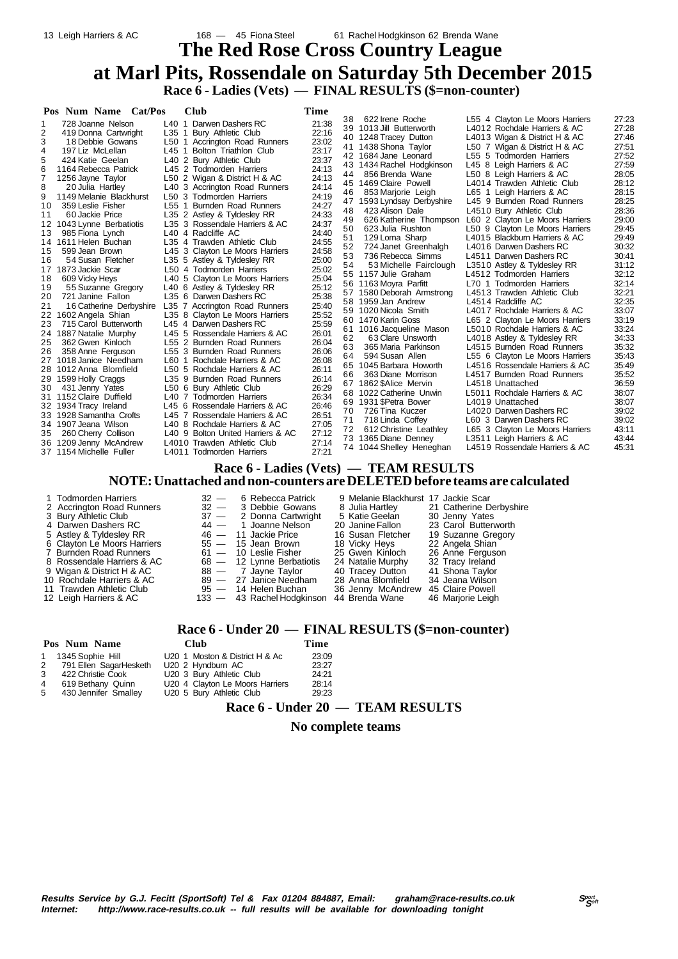# **The Red Rose Cross Country League at Marl Pits, Rossendale on Saturday 5th December 2015 Race 6 - Ladies (Vets) — FINAL RESULTS (\$=non-counter)**

| Pos Num Name Cat/Pos                        | <b>Club</b>                                                   | Time  |    |                           |                                 |       |
|---------------------------------------------|---------------------------------------------------------------|-------|----|---------------------------|---------------------------------|-------|
| 728 Joanne Nelson                           | L40 1 Darwen Dashers RC                                       | 21:38 | 38 | 622 Irene Roche           | L55 4 Clayton Le Moors Harriers | 27:23 |
| 2<br>419 Donna Cartwright                   | L35 1 Bury Athletic Club                                      | 22:16 |    | 39 1013 Jill Butterworth  | L4012 Rochdale Harriers & AC    | 27:28 |
| 3<br>18 Debbie Gowans                       | L50 1 Accrington Road Runners                                 | 23:02 |    | 40 1248 Tracey Dutton     | L4013 Wigan & District H & AC   | 27:46 |
| 4<br>197 Liz McLellan                       | L45 1 Bolton Triathlon Club                                   | 23:17 |    | 41 1438 Shona Taylor      | L50 7 Wigan & District H & AC   | 27:51 |
| 424 Katie Geelan                            | L40 2 Bury Athletic Club                                      | 23:37 |    | 42 1684 Jane Leonard      | L55 5 Todmorden Harriers        | 27:52 |
| 1164 Rebecca Patrick                        | L45 2 Todmorden Harriers                                      | 24:13 |    | 43 1434 Rachel Hodgkinson | L45 8 Leigh Harriers & AC       | 27:59 |
|                                             | L50 2 Wigan & District H & AC                                 | 24:13 | 44 | 856 Brenda Wane           | L50 8 Leigh Harriers & AC       | 28:05 |
| 1256 Jayne Taylor<br>8                      | L40 3 Accrington Road Runners                                 | 24:14 |    | 45 1469 Claire Powell     | L4014 Trawden Athletic Club     | 28:12 |
| 20 Julia Hartley<br>1149 Melanie Blackhurst | L50 3 Todmorden Harriers                                      | 24:19 | 46 | 853 Marjorie Leigh        | L65 1 Leigh Harriers & AC       | 28:15 |
| 359 Leslie Fisher<br>10                     | L55 1 Burnden Road Runners                                    | 24:27 | 47 | 1593 Lyndsay Derbyshire   | L45 9 Burnden Road Runners      | 28:25 |
| 60 Jackie Price<br>11                       |                                                               | 24:33 | 48 | 423 Alison Dale           | L4510 Bury Athletic Club        | 28:36 |
|                                             | L35 2 Astley & Tyldesley RR<br>L35 3 Rossendale Harriers & AC | 24:37 | 49 | 626 Katherine Thompson    | L60 2 Clayton Le Moors Harriers | 29:00 |
| 1043 Lynne Berbatiotis<br>12<br>13          | L40 4 Radcliffe AC                                            | 24:40 | 50 | 623 Julia Rushton         | L50 9 Clayton Le Moors Harriers | 29:45 |
| 985 Fiona Lynch<br>1611 Helen Buchan<br>14  | L35 4 Trawden Athletic Club                                   | 24:55 | 51 | 129 Lorna Sharp           | L4015 Blackburn Harriers & AC   | 29:49 |
| 599 Jean Brown<br>15                        | L45 3 Clayton Le Moors Harriers                               | 24:58 | 52 | 724 Janet Greenhalgh      | L4016 Darwen Dashers RC         | 30:32 |
| 54 Susan Fletcher<br>16                     | L35 5 Astley & Tyldesley RR                                   | 25:00 | 53 | 736 Rebecca Simms         | L4511 Darwen Dashers RC         | 30:41 |
| 1873 Jackie Scar<br>1/                      | L50 4 Todmorden Harriers                                      | 25:02 | 54 | 53 Michelle Fairclough    | L3510 Astley & Tyldesley RR     | 31:12 |
| 609 Vicky Heys<br>18                        | L40 5 Clayton Le Moors Harriers                               | 25:04 |    | 55 1157 Julie Graham      | L4512 Todmorden Harriers        | 32:12 |
| 55 Suzanne Gregory<br>19                    | L40 6 Astley & Tyldesley RR                                   | 25:12 |    | 56 1163 Moyra Parfitt     | L70 1 Todmorden Harriers        | 32:14 |
| 721 Janine Fallon<br>20                     | L35 6 Darwen Dashers RC                                       | 25:38 |    | 57 1580 Deborah Armstrong | L4513 Trawden Athletic Club     | 32:21 |
| 21<br>16 Catherine Derbyshire               | L35 7 Accrington Road Runners                                 | 25:40 | 58 | 1959 Jan Andrew           | L4514 Radcliffe AC              | 32:35 |
| 1602 Angela Shian                           | L35 8 Clayton Le Moors Harriers                               | 25:52 |    | 59 1020 Nicola Smith      | L4017 Rochdale Harriers & AC    | 33:07 |
| 23<br>715 Carol Butterworth                 | L45 4 Darwen Dashers RC                                       | 25:59 |    | 60 1470 Karin Goss        | L65 2 Clayton Le Moors Harriers | 33:19 |
| 24 1887 Natalie Murphy                      | L45 5 Rossendale Harriers & AC                                | 26:01 |    | 61 1016 Jacqueline Mason  | L5010 Rochdale Harriers & AC    | 33:24 |
| 25<br>362 Gwen Kinloch                      | L55 2 Burnden Road Runners                                    | 26:04 | 62 | 63 Clare Unsworth         | L4018 Astley & Tyldesley RR     | 34:33 |
| 26<br>358 Anne Ferguson                     | L55 3 Burnden Road Runners                                    | 26:06 | 63 | 365 Maria Parkinson       | L4515 Burnden Road Runners      | 35:32 |
| 1018 Janice Needham<br>27                   | L60 1 Rochdale Harriers & AC                                  | 26:08 | 64 | 594 Susan Allen           | L55 6 Clayton Le Moors Harriers | 35:43 |
| 28 1012 Anna Blomfield                      | L50 5 Rochdale Harriers & AC                                  | 26:11 |    | 65 1045 Barbara Howorth   | L4516 Rossendale Harriers & AC  | 35:49 |
| 29 1599 Holly Craggs                        | L35 9 Burnden Road Runners                                    | 26:14 | 66 | 363 Diane Morrison        | L4517 Burnden Road Runners      | 35:52 |
| 30<br>431 Jenny Yates                       | L50 6 Bury Athletic Club                                      | 26:29 |    | 67 1862 SAlice Mervin     | L4518 Unattached                | 36:59 |
| 1152 Claire Duffield<br>31                  | L40 7 Todmorden Harriers                                      | 26:34 |    | 68 1022 Catherine Unwin   | L5011 Rochdale Harriers & AC    | 38:07 |
| 32 1934 Tracy Ireland                       | L45 6 Rossendale Harriers & AC                                | 26:46 |    | 69 1931 \$Petra Bower     | L4019 Unattached                | 38:07 |
| 33 1928 Samantha Crofts                     | L45 7 Rossendale Harriers & AC                                | 26:51 | 70 | 726 Tina Kuczer           | L4020 Darwen Dashers RC         | 39:02 |
| 34 1907 Jeana Wilson                        | L40 8 Rochdale Harriers & AC                                  | 27:05 | 71 | 718 Linda Coffey          | L60 3 Darwen Dashers RC         | 39:02 |
| 260 Cherry Collison<br>35                   | L40 9 Bolton United Harriers & AC                             | 27:12 | 72 | 612 Christine Leathley    | L65 3 Clayton Le Moors Harriers | 43:11 |
| 36 1209 Jenny McAndrew                      | L4010 Trawden Athletic Club                                   | 27:14 |    | 73 1365 Diane Denney      | L3511 Leigh Harriers & AC       | 43:44 |
| 37 1154 Michelle Fuller                     | I 4011 Todmorden Harriers                                     | 27.21 |    | 74 1044 Shelley Heneghan  | L4519 Rossendale Harriers & AC  | 45:31 |

# **Race 6 - Ladies (Vets) — TEAM RESULTS**

#### **NOTE: Unattached and non-counters are DELETED before teams are calculated**

| 1 Todmorden Harriers        | $32 -$ | 6 Rebecca Patrick           | 9 Melanie Blackhurst 17 Jackie Scar |                  |
|-----------------------------|--------|-----------------------------|-------------------------------------|------------------|
| 2 Accrington Road Runners   |        | $32 - 3$ Debbie Gowans      | 8 Julia Hartley                     | 21 Catherine De  |
| 3 Bury Athletic Club        |        | 37 - 2 Donna Cartwright     | 5 Katie Geelan                      | 30 Jenny Yates   |
| 4 Darwen Dashers RC         |        | 44 - 1 Joanne Nelson        | 20 Janine Fallon                    | 23 Carol Butterv |
| 5 Astley & Tyldesley RR     |        | 46 - 11 Jackie Price        | 16 Susan Fletcher                   | 19 Suzanne Gre   |
| 6 Clayton Le Moors Harriers |        | $55 - 15$ Jean Brown        | 18 Vicky Heys                       | 22 Angela Shian  |
| 7 Burnden Road Runners      |        | $61 - 10$ Leslie Fisher     | 25 Gwen Kinloch                     | 26 Anne Fergus   |
| 8 Rossendale Harriers & AC  |        | $68 - 12$ Lynne Berbatiotis | 24 Natalie Murphy                   | 32 Tracy Ireland |
| 9 Wigan & District H & AC   |        | 88 — 7 Jayne Taylor         | 40 Tracey Dutton                    | 41 Shona Taylor  |
| 10 Rochdale Harriers & AC   |        | 89 - 27 Janice Needham      | 28 Anna Blomfield                   | 34 Jeana Wilson  |
|                             |        |                             |                                     |                  |

12 Leigh Harriers & AC

1 1 Tomorden Harrick 9 Melanie Blackhurst 17 Jackie Scar<br>
1 2 Toebbie Gowans 8 Julia Hartley 21 Catherine D<br>
1 2 Tonna Cartwright 5 Katie Geelan 30 Jenny Yate 32 - 3 Debbie Gowans<br>37 - 2 Donna Cartwright 5 Katie Geelan<br>44 - 1 Joanne Nelson 20 Janine Fallon<br>46 - 11 Jackie Price 16 Susan Fletcher 46 — 11 Jackie Price 16 Susan Fletcher 19 Suzanne Gregory<br>55 — 15 Jean Brown 18 Vicky Hevs 22 Angela Shian 6 Clayton Le Moore 18 Vicky Heys 22 Angela Shian<br>61 — 10 Leslie Fisher 25 Gwen Kinloch 26 Anne Fergus 81 — 10 Leslie Fisher 25 Gwen Kinloch 26 Anne Ferguson<br>68 — 12 Lynne Berbatiotis 24 Natalie Murphy 32 Tracy Ireland<br>88 — 7 Jayne Taylor 40 Tracey Dutton 41 Shona Taylor 10 Vigan & District H & AC 88 — 12 James Taylor 40 Tracey Dutton 41 Shona Taylor<br>
Rochdale Harriers & AC 89 — 27 Janice Needham 28 Anna Blomfield 34 Jeana Wilson<br>
Trawden Athletic Club 95 — 14 Helen Buchan 36 Jenny McAndre 11 11 Helen Buchan 36 Jenny McAndrew 45 Claire Powell<br>133 — 43 Rachel Hodgkinson 44 Brenda Wane 46 Marjorie Leigh

21 Catherine Derbyshire 4 Daniel Cartwright<br>
4 Danne Nelson 20 Janine Fallon 23 Carol Butterworth<br>
11 Jackie Price 16 Susan Fletcher 19 Suzanne Gregory

- 
- -

### **Race 6 - Under 20 — FINAL RESULTS (\$=non-counter)**

|   | Pos Num Name             | Club                            | Time  |  |  |
|---|--------------------------|---------------------------------|-------|--|--|
|   | 1 1345 Sophie Hill       | U20 1 Moston & District H & Ac  | 23:09 |  |  |
|   | 2 791 Ellen SagarHesketh | U20 2 Hyndburn AC               | 23:27 |  |  |
| 3 | 422 Christie Cook        | U20 3 Bury Athletic Club        | 24.21 |  |  |
| 4 | 619 Bethany Quinn        | U20 4 Clayton Le Moors Harriers | 28:14 |  |  |
| 5 | 430 Jennifer Smalley     | U20 5 Bury Athletic Club        | 29:23 |  |  |

### **Race 6 - Under 20 — TEAM RESULTS**

#### **No complete teams**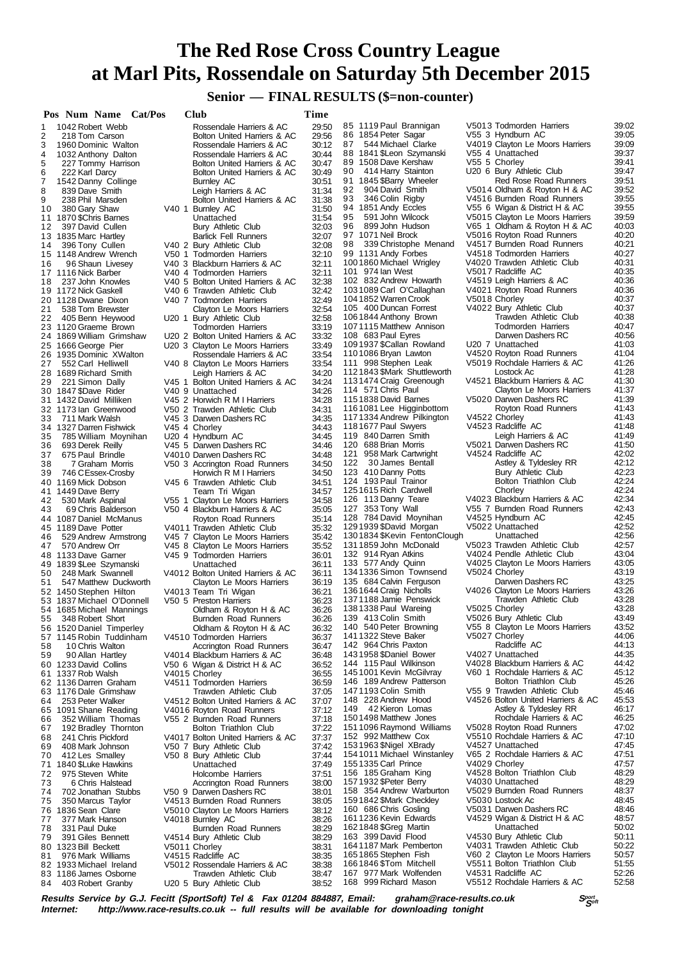### **Senior — FINAL RESULTS (\$=non-counter)**

|          | Pos Num Name Cat/Pos                            | Club                                                                 | Time           |                                                        |                                                                  |                |
|----------|-------------------------------------------------|----------------------------------------------------------------------|----------------|--------------------------------------------------------|------------------------------------------------------------------|----------------|
| 1        | 1042 Robert Webb                                | Rossendale Harriers & AC                                             | 29:50          | 85 1119 Paul Brannigan                                 | V5013 Todmorden Harriers                                         | 39:02          |
| 2<br>3   | 218 Tom Carson<br>1960 Dominic Walton           | Bolton United Harriers & AC<br>Rossendale Harriers & AC              | 29:56<br>30:12 | 86 1854 Peter Sagar<br>544 Michael Clarke<br>87        | V55 3 Hyndburn AC<br>V4019 Clayton Le Moors Harriers             | 39:05<br>39:09 |
| 4        | 1032 Anthony Dalton                             | Rossendale Harriers & AC                                             | 30:44          | 88 1841 \$Leon Szymanski                               | V55 4 Unattached                                                 | 39:37          |
| 5        | 227 Tommy Harrison                              | Bolton United Harriers & AC                                          | 30:47          | 89 1508 Dave Kershaw                                   | V55 5 Chorley                                                    | 39:41          |
| 6<br>7   | 222 Karl Darcy                                  | Bolton United Harriers & AC                                          | 30:49<br>30:51 | 414 Harry Stainton<br>90<br>91 1845 \$Barry Wheeler    | U20 6 Bury Athletic Club<br><b>Red Rose Road Runners</b>         | 39:47<br>39:51 |
| 8        | 1542 Danny Collinge<br>839 Dave Smith           | Burnley AC<br>Leigh Harriers & AC                                    | 31:34          | 904 David Smith<br>92                                  | V5014 Oldham & Royton H & AC                                     | 39:52          |
| 9        | 238 Phil Marsden                                | Bolton United Harriers & AC                                          | 31:38          | 346 Colin Rigby<br>93                                  | V4516 Burnden Road Runners                                       | 39:55          |
| 10       | 380 Gary Shaw                                   | V40 1 Burnley AC                                                     | 31:50          | 94 1851 Andy Eccles                                    | V55 6 Wigan & District H & AC                                    | 39:55          |
| 12       | 11 1870 \$Chris Barnes<br>397 David Cullen      | Unattached<br>Bury Athletic Club                                     | 31:54<br>32:03 | 95<br>591 John Wilcock<br>899 John Hudson<br>96        | V5015 Clayton Le Moors Harriers<br>V65 1 Oldham & Royton H & AC  | 39:59<br>40:03 |
|          | 13 1835 Marc Hartley                            | <b>Barlick Fell Runners</b>                                          | 32:07          | 97 1071 Neil Brock                                     | V5016 Royton Road Runners                                        | 40:20          |
| 14       | 396 Tony Cullen                                 | V40 2 Bury Athletic Club                                             | 32:08          | 98<br>339 Christophe Menand                            | V4517 Burnden Road Runners                                       | 40:21          |
| 16       | 15 1148 Andrew Wrench<br>96 Shaun Livesey       | V50 1 Todmorden Harriers<br>V40 3 Blackburn Harriers & AC            | 32:10<br>32:11 | 99 1131 Andy Forbes<br>1001860 Michael Wrigley         | V4518 Todmorden Harriers<br>V4020 Trawden Athletic Club          | 40:27<br>40:31 |
|          | 17 1116 Nick Barber                             | V40 4 Todmorden Harriers                                             | 32:11          | 101 974 Ian West                                       | V5017 Radcliffe AC                                               | 40:35          |
| 18       | 237 John Knowles                                | V40 5 Bolton United Harriers & AC                                    | 32:38          | 102 832 Andrew Howarth                                 | V4519 Leigh Harriers & AC                                        | 40:36          |
|          | 19 1172 Nick Gaskell                            | V40 6 Trawden Athletic Club                                          | 32:42          | 1031089 Carl O'Callaghan<br>1041852 Warren Crook       | V4021 Royton Road Runners<br>V5018 Chorley                       | 40:36<br>40:37 |
| 21       | 20 1128 Dwane Dixon<br>538 Tom Brewster         | V40 7 Todmorden Harriers<br>Clayton Le Moors Harriers                | 32:49<br>32:54 | 105 400 Duncan Forrest                                 | V4022 Bury Athletic Club                                         | 40:37          |
| 22       | 405 Benn Heywood                                | U20 1 Bury Athletic Club                                             | 32:58          | 1061844 Anthony Brown                                  | Trawden Athletic Club                                            | 40:38          |
|          | 23 1120 Graeme Brown                            | <b>Todmorden Harriers</b>                                            | 33:19          | 1071115 Matthew Annison                                | <b>Todmorden Harriers</b>                                        | 40:47          |
|          | 24 1869 William Grimshaw<br>25 1666 George Pier | U20 2 Bolton United Harriers & AC<br>U20 3 Clayton Le Moors Harriers | 33:32<br>33:49 | 108 683 Paul Eyres<br>1091937 \$Callan Rowland         | Darwen Dashers RC<br>U20 7 Unattached                            | 40:56<br>41:03 |
|          | 26 1935 Dominic XWalton                         | Rossendale Harriers & AC                                             | 33:54          | 1101086 Bryan Lawton                                   | V4520 Royton Road Runners                                        | 41:04          |
| 27       | 552 Carl Helliwell                              | V40 8 Clayton Le Moors Harriers                                      | 33:54          | 111 998 Stephen Leak                                   | V5019 Rochdale Harriers & AC                                     | 41:26          |
|          | 28 1689 Richard Smith                           | Leigh Harriers & AC                                                  | 34:20          | 1121843 \$Mark Shuttleworth<br>1131474 Craig Greenough | Lostock Ac<br>V4521 Blackburn Harriers & AC                      | 41:28<br>41:30 |
| 29       | 221 Simon Dally<br>30 1847 \$Dave Rider         | V45 1 Bolton United Harriers & AC<br>V40 9 Unattached                | 34:24<br>34:26 | 114 571 Chris Paul                                     | Clayton Le Moors Harriers                                        | 41:37          |
|          | 31 1432 David Milliken                          | V45 2 Horwich R M I Harriers                                         | 34:28          | 1151838 David Barnes                                   | V5020 Darwen Dashers RC                                          | 41:39          |
|          | 32 1173 lan Greenwood                           | V50 2 Trawden Athletic Club                                          | 34:31          | 1161081 Lee Higginbottom                               | Royton Road Runners                                              | 41:43          |
| 33       | 711 Mark Walsh<br>34 1327 Darren Fishwick       | V45 3 Darwen Dashers RC<br>V45 4 Chorley                             | 34:35<br>34:43 | 1171334 Andrew Pilkington<br>1181677 Paul Swyers       | V4522 Chorley<br>V4523 Radcliffe AC                              | 41:43<br>41:48 |
| 35       | 785 William Moynihan                            | U20 4 Hyndburn AC                                                    | 34:45          | 119 840 Darren Smith                                   | Leigh Harriers & AC                                              | 41:49          |
| 36       | 693 Derek Reilly                                | V45 5 Darwen Dashers RC                                              | 34:46          | 120 688 Brian Morris                                   | V5021 Darwen Dashers RC                                          | 41:50          |
| 37       | 675 Paul Brindle                                | V4010 Darwen Dashers RC                                              | 34:48          | 121 958 Mark Cartwright<br>122<br>30 James Bentall     | V4524 Radcliffe AC<br>Astley & Tyldesley RR                      | 42:02<br>42:12 |
| 38<br>39 | 7 Graham Morris<br>746 CEssex-Crosby            | V50 3 Accrington Road Runners<br>Horwich R M I Harriers              | 34:50<br>34:50 | 123 410 Danny Potts                                    | Bury Athletic Club                                               | 42:23          |
|          | 40 1169 Mick Dobson                             | V45 6 Trawden Athletic Club                                          | 34:51          | 124 193 Paul Trainor                                   | Bolton Triathlon Club                                            | 42:24          |
|          | 41 1449 Dave Berry                              | Team Tri Wigan                                                       | 34:57          | 1251615 Rich Cardwell                                  | Chorley                                                          | 42:24          |
| 42<br>43 | 530 Mark Aspinal<br>69 Chris Balderson          | V55 1 Clayton Le Moors Harriers<br>V50 4 Blackburn Harriers & AC     | 34:58<br>35:05 | 126 113 Danny Teare<br>127 353 Tony Wall               | V4023 Blackburn Harriers & AC<br>V55 7 Burnden Road Runners      | 42:34<br>42:43 |
|          | 44 1087 Daniel McManus                          | Royton Road Runners                                                  | 35:14          | 128 784 David Moynihan                                 | V4525 Hyndburn AC                                                | 42:45          |
|          | 45 1189 Dave Potter                             | V4011 Trawden Athletic Club                                          | 35:32          | 1291939 \$David Morgan                                 | V5022 Unattached                                                 | 42:52          |
| 46<br>47 | 529 Andrew Armstrong<br>570 Andrew Orr          | V45 7 Clayton Le Moors Harriers<br>V45 8 Clayton Le Moors Harriers   | 35:42<br>35:52 | 1301834 \$Kevin FentonClough<br>1311859 John McDonald  | Unattached<br>V5023 Trawden Athletic Club                        | 42:56<br>42:57 |
|          | 48 1133 Dave Garner                             | V45 9 Todmorden Harriers                                             | 36:01          | 132 914 Ryan Atkins                                    | V4024 Pendle Athletic Club                                       | 43:04          |
|          | 49 1839 \$Lee Szymanski                         | Unattached                                                           | 36:11          | 133 577 Andy Quinn                                     | V4025 Clayton Le Moors Harriers                                  | 43:05          |
| 50       | 248 Mark Swannell                               | V4012 Bolton United Harriers & AC                                    | 36:11          | 1341336 Simon Townsend<br>135 684 Calvin Ferguson      | V5024 Chorley<br>Darwen Dashers RC                               | 43:19<br>43:25 |
| 51       | 547 Matthew Duckworth<br>52 1450 Stephen Hilton | Clayton Le Moors Harriers<br>V4013 Team Tri Wigan                    | 36:19<br>36:21 | 1361644 Craig Nicholls                                 | V4026 Clayton Le Moors Harriers                                  | 43:26          |
|          | 53 1837 Michael O'Donnell                       | V50 5 Preston Harriers                                               | 36:23          | 1371188 Jamie Penswick                                 | Trawden Athletic Club                                            | 43:28          |
|          | 54 1685 Michael Mannings                        | Oldham & Royton H & AC                                               | 36:26          | 1381338 Paul Wareing                                   | V5025 Chorley<br>V5026 Bury Athletic Club                        | 43:28<br>43:49 |
| 55       | 348 Robert Short<br>56 1520 Daniel Timperley    | Burnden Road Runners<br>Oldham & Royton H & AC                       | 36:26<br>36:32 | 139 413 Colin Smith<br>140 540 Peter Browning          | V55 8 Clayton Le Moors Harriers                                  | 43:52          |
|          | 57 1145 Robin Tuddinham                         | V4510 Todmorden Harriers                                             | 36:37          | 1411322 Steve Baker                                    | V5027 Chorley                                                    | 44:06          |
| 58       | 10 Chris Walton                                 | Accrington Road Runners                                              | 36:47          | 142 964 Chris Paxton                                   | Radcliffe AC                                                     | 44:13          |
| 59       | 90 Allan Hartley<br>60 1233 David Collins       | V4014 Blackburn Harriers & AC<br>V50 6 Wigan & District H & AC       | 36:48<br>36:52 | 1431958 \$Daniel Bower<br>144 115 Paul Wilkinson       | V4027 Unattached<br>V4028 Blackburn Harriers & AC                | 44:35<br>44:42 |
|          | 61 1337 Rob Walsh                               | V4015 Chorley                                                        | 36:55          | 1451001 Kevin McGilvray                                | V60 1 Rochdale Harriers & AC                                     | 45:12          |
|          | 62 1136 Darren Graham                           | V4511 Todmorden Harriers                                             | 36:59          | 146 189 Andrew Patterson                               | Bolton Triathlon Club                                            | 45:26          |
|          | 63 1176 Dale Grimshaw                           | Trawden Athletic Club<br>V4512 Bolton United Harriers & AC           | 37:05<br>37:07 | 1471193 Colin Smith<br>148 228 Andrew Hood             | V55 9 Trawden Athletic Club<br>V4526 Bolton United Harriers & AC | 45:46<br>45:53 |
| 64       | 253 Peter Walker<br>65 1091 Shane Reading       | V4016 Royton Road Runners                                            | 37:12          | 149 42 Kieron Lomas                                    | Astley & Tyldesley RR                                            | 46:17          |
| 66       | 352 William Thomas                              | V55 2 Burnden Road Runners                                           | 37:18          | 1501498 Matthew Jones                                  | Rochdale Harriers & AC                                           | 46:25          |
| 67       | 192 Bradley Thornton                            | Bolton Triathlon Club                                                | 37:22          | 1511096 Raymond Williams                               | V5028 Royton Road Runners                                        | 47:02          |
| 68<br>69 | 241 Chris Pickford<br>408 Mark Johnson          | V4017 Bolton United Harriers & AC<br>V50 7 Bury Athletic Club        | 37:37<br>37:42 | 152 992 Matthew Cox<br>1531963 \$Nigel XBrady          | V5510 Rochdale Harriers & AC<br>V4527 Unattached                 | 47:10<br>47:45 |
| 70       | 412 Les Smalley                                 | V50 8 Bury Athletic Club                                             | 37:44          | 1541011 Michael Winstanley                             | V65 2 Rochdale Harriers & AC                                     | 47:51          |
| 71       | 1840 \$Luke Hawkins                             | Unattached                                                           | 37:49          | 1551335 Carl Prince                                    | V4029 Chorley                                                    | 47:57          |
| 72<br>73 | 975 Steven White<br>6 Chris Halstead            | Holcombe Harriers                                                    | 37:51<br>38:00 | 156 185 Graham King<br>1571932 \$Peter Berry           | V4528 Bolton Triathlon Club<br>V4030 Unattached                  | 48:29<br>48:29 |
| 74       | 702 Jonathan Stubbs                             | Accrington Road Runners<br>V50 9 Darwen Dashers RC                   | 38:01          | 158 354 Andrew Warburton                               | V5029 Burnden Road Runners                                       | 48:37          |
| 75       | 350 Marcus Taylor                               | V4513 Burnden Road Runners                                           | 38:05          | 1591842 \$Mark Checkley                                | V5030 Lostock Ac                                                 | 48:45          |
| 76       | 1836 Sean Clare                                 | V5010 Clayton Le Moors Harriers                                      | 38:12          | 160 686 Chris Gosling<br>1611236 Kevin Edwards         | V5031 Darwen Dashers RC<br>V4529 Wigan & District H & AC         | 48:46<br>48:57 |
| 77<br>78 | 377 Mark Hanson<br>331 Paul Duke                | V4018 Burnley AC<br>Burnden Road Runners                             | 38:26<br>38:29 | 1621848 \$Greg Martin                                  | Unattached                                                       | 50:02          |
| 79       | 391 Giles Bennett                               | V4514 Bury Athletic Club                                             | 38:29          | 163 399 David Flood                                    | V4530 Bury Athletic Club                                         | 50:11          |
|          | 80 1323 Bill Beckett                            | V5011 Chorley                                                        | 38:31          | 1641187 Mark Pemberton                                 | V4031 Trawden Athletic Club                                      | 50:22          |
| 81       | 976 Mark Williams<br>82 1933 Michael Ireland    | V4515 Radcliffe AC<br>V5012 Rossendale Harriers & AC                 | 38:35<br>38:38 | 1651865 Stephen Fish<br>1661846 \$Tom Mitchell         | V60 2 Clayton Le Moors Harriers<br>V5511 Bolton Triathlon Club   | 50:57<br>51:55 |
|          | 83 1186 James Osborne                           | Trawden Athletic Club                                                | 38:47          | 167 977 Mark Wolfenden                                 | V4531 Radcliffe AC                                               | 52:26          |
| 84       | 403 Robert Granby                               | U20 5 Bury Athletic Club                                             | 38:52          | 168 999 Richard Mason                                  | V5512 Rochdale Harriers & AC                                     | 52:58          |
|          |                                                 |                                                                      |                |                                                        |                                                                  |                |

**Results Service by G.J. Fecitt (SportSoft) Tel & Fax 01204 884887, Email: graham@race-results.co.uk Special Special<br>Internet: http://www.race-results.co.uk -- full results will be available for downloading tonight** http://www.race-results.co.uk -- full results will be available for downloading tonight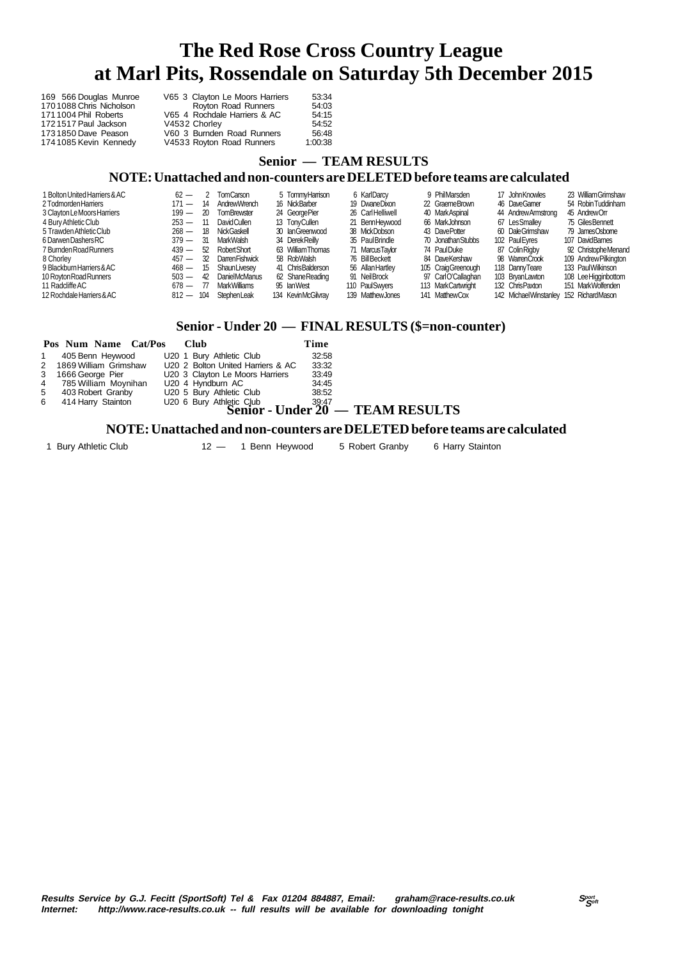| 169 566 Douglas Munroe  | V65 3 Clayton Le Moors Harriers | 53:34   |
|-------------------------|---------------------------------|---------|
| 1701088 Chris Nicholson | Royton Road Runners             | 54:03   |
| 1711004 Phil Roberts    | V65 4 Rochdale Harriers & AC    | 54:15   |
| 1721517 Paul Jackson    | V4532 Chorley                   | 54:52   |
| 1731850 Dave Peason     | V60 3 Burnden Road Runners      | 56:48   |
| 1741085 Kevin Kennedy   | V4533 Royton Road Runners       | 1:00:38 |

# **Senior — TEAM RESULTS**

#### **NOTE: Unattached and non-counters are DELETED before teams are calculated**

| 1 Bolton United Harriers & AC | $62 -$      | $\overline{2}$ | <b>TomCarson</b>      | 5 TommvHamison     | 6 KarlDarcy       | 9 PhilMarsden      | 17 John Knowles        | 23 William Grimshaw   |
|-------------------------------|-------------|----------------|-----------------------|--------------------|-------------------|--------------------|------------------------|-----------------------|
| 2 Todmorden Harriers          | $171 -$     | 14             | AndrewWrench          | 16 NickBarber      | 19 DwaneDixon     | 22 GraemeBrown     | 46 DaveGamer           | 54 Robin Tuddinham    |
| 3 Clayton Le Moors Harriers   | $199 -$     | 20             | <b>TomBrewster</b>    | 24 George Pier     | 26 CarlHelliwell  | 40 MarkAspinal     | 44 Andrew Armstrong    | 45 AndrewOrr          |
| 4 Bury Athletic Club          | $253 -$     | - 11           | <b>DavidCullen</b>    | 13 TonyCullen      | 21 BennHeywood    | 66 MarkJohnson     | 67 Les Smalley         | 75 Giles Bennett      |
| 5 Trawden Athletic Club       | $268 -$     | 18             | <b>NickGaskell</b>    | 30 IanGreenwood    | 38 MickDobson     | 43 DavePotter      | 60 DaleGrimshaw        | 79 JamesOsbome        |
| 6 Darwen Dashers RC           | $379 -$     | -31            | MarkWalsh             | 34 Derek Reilly    | 35 Paul Brindle   | 70 Jonathan Stubbs | 102 Paul Evres         | 107 DavidBames        |
| 7 Burnden Road Runners        | $439 -$     | 52             | <b>Robert Short</b>   | 63 William Thomas  | 71 MarcusTaylor   | 74 PaulDuke        | 87 Colin Rigby         | 92 Christophe Menand  |
| 8 Chorley                     | $457 -$     | 32             | <b>DarrenFishwick</b> | 58 RobWalsh        | 76 Bill Beckett   | 84 DaveKershaw     | 98 WarrenCrook         | 109 Andrew Pilkington |
| 9 Blackburn Harriers & AC     | $468 -$     | 15             | ShaunLivesev          | 41 ChrisBalderson  | 56 Allan Hartley  | 105 CraigGreenough | 118 DannyTeare         | 133 PaulWilkinson     |
| 10 Rovton Road Runners        | $503 -$     | 42             | <b>DanielMcManus</b>  | 62 Shane Reading   | 91 NeilBrock      | 97 CarlO'Callaghan | 103 BrvanLawton        | 108 Lee Higginbottom  |
| 11 Radcliffe AC               | 678 —       | -77            | <b>Mark Williams</b>  | 95 IanWest         | 110 PaulSwyers    | 113 MarkCartwright | 132 ChrisPaxton        | 151 MarkWolfenden     |
| 12 Rochdale Harriers & AC     | $812 - 104$ |                | StephenLeak           | 134 KevinMcGilvray | 139 Matthew Jones | 141 MatthewCox     | 142 Michael Winstanley | 152 RichardMason      |

### **Senior - Under 20 — FINAL RESULTS (\$=non-counter)**

|              | Pos Num Name Cat/Pos    |  | Club                                                    | Time  |
|--------------|-------------------------|--|---------------------------------------------------------|-------|
| $\mathbf{1}$ | 405 Benn Heywood        |  | U20 1 Bury Athletic Club                                | 32:58 |
|              | 2 1869 William Grimshaw |  | U20 2 Bolton United Harriers & AC                       | 33:32 |
| 3            | 1666 George Pier        |  | U20 3 Clayton Le Moors Harriers                         | 33:49 |
| 4            | 785 William Moynihan    |  | U20 4 Hyndburn AC                                       | 34:45 |
| 5            | 403 Robert Granby       |  | U20 5 Bury Athletic Club                                | 38:52 |
| 6            | 414 Harry Stainton      |  | U20 6 Bury Athletic Club $39:47$<br>Senior - Under 20 - |       |
|              |                         |  |                                                         |       |

## **- TEAM RESULTS**

### **NOTE: Unattached and non-counters are DELETED before teams are calculated**

1 Bury Athletic Club 12 - 1 Benn Heywood 5 Robert Granby 6 Harry Stainton